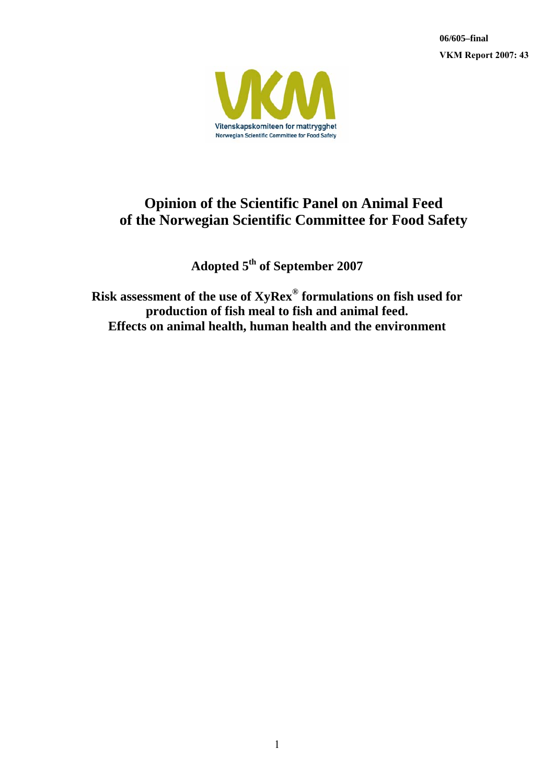**06/605–final VKM Report 2007: 43**



# **Opinion of the Scientific Panel on Animal Feed of the Norwegian Scientific Committee for Food Safety**

**Adopted 5th of September 2007** 

**Risk assessment of the use of XyRex® formulations on fish used for production of fish meal to fish and animal feed. Effects on animal health, human health and the environment**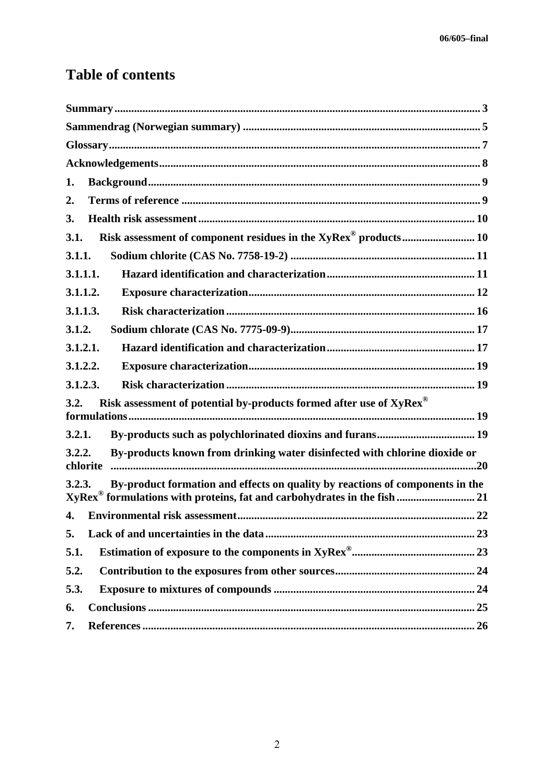# **Table of contents**

| 1.                                                                                               |
|--------------------------------------------------------------------------------------------------|
| 2.                                                                                               |
| 3.                                                                                               |
| Risk assessment of component residues in the XyRex <sup>®</sup> products 10<br>3.1.              |
| 3.1.1.                                                                                           |
| 3.1.1.1.                                                                                         |
| 3.1.1.2.                                                                                         |
| 3.1.1.3.                                                                                         |
| 3.1.2.                                                                                           |
| 3.1.2.1.                                                                                         |
| 3.1.2.2.                                                                                         |
| 3.1.2.3.                                                                                         |
| Risk assessment of potential by-products formed after use of XyRex®<br>3.2.                      |
|                                                                                                  |
| 3.2.1.                                                                                           |
| By-products known from drinking water disinfected with chlorine dioxide or<br>3.2.2.<br>chlorite |
| By-product formation and effects on quality by reactions of components in the<br>3.2.3.          |
| XyRex <sup>®</sup> formulations with proteins, fat and carbohydrates in the fish  21             |
| 4.                                                                                               |
| 5.                                                                                               |
| 5.1.                                                                                             |
| 5.2.                                                                                             |
| 5.3.                                                                                             |
| 6.                                                                                               |
| 7.                                                                                               |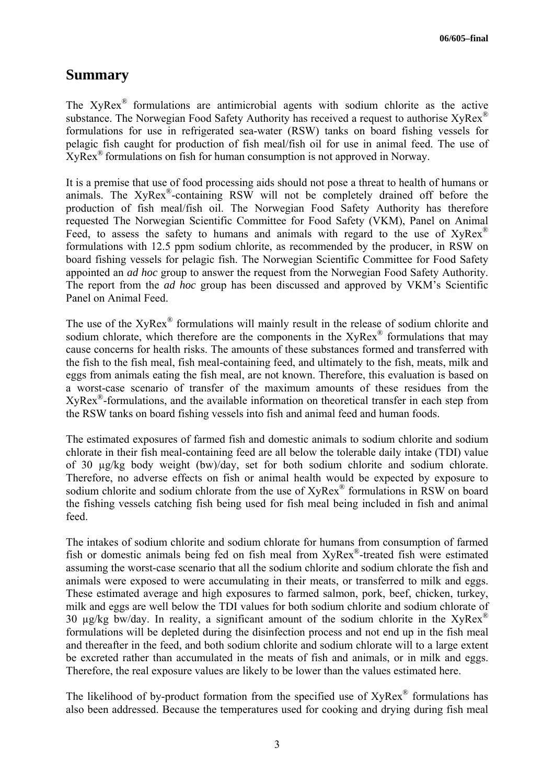## **Summary**

The XyRex® formulations are antimicrobial agents with sodium chlorite as the active substance. The Norwegian Food Safety Authority has received a request to authorise XyRex<sup>®</sup> formulations for use in refrigerated sea-water (RSW) tanks on board fishing vessels for pelagic fish caught for production of fish meal/fish oil for use in animal feed. The use of XyRex® formulations on fish for human consumption is not approved in Norway.

It is a premise that use of food processing aids should not pose a threat to health of humans or animals. The XyRex®-containing RSW will not be completely drained off before the production of fish meal/fish oil. The Norwegian Food Safety Authority has therefore requested The Norwegian Scientific Committee for Food Safety (VKM), Panel on Animal Feed, to assess the safety to humans and animals with regard to the use of  $XyRex^{\circledast}$ formulations with 12.5 ppm sodium chlorite, as recommended by the producer, in RSW on board fishing vessels for pelagic fish. The Norwegian Scientific Committee for Food Safety appointed an *ad hoc* group to answer the request from the Norwegian Food Safety Authority. The report from the *ad hoc* group has been discussed and approved by VKM's Scientific Panel on Animal Feed.

The use of the XyRex® formulations will mainly result in the release of sodium chlorite and sodium chlorate, which therefore are the components in the XyRex<sup>®</sup> formulations that may cause concerns for health risks. The amounts of these substances formed and transferred with the fish to the fish meal, fish meal-containing feed, and ultimately to the fish, meats, milk and eggs from animals eating the fish meal, are not known. Therefore, this evaluation is based on a worst-case scenario of transfer of the maximum amounts of these residues from the XyRex®-formulations, and the available information on theoretical transfer in each step from the RSW tanks on board fishing vessels into fish and animal feed and human foods.

The estimated exposures of farmed fish and domestic animals to sodium chlorite and sodium chlorate in their fish meal-containing feed are all below the tolerable daily intake (TDI) value of 30 µg/kg body weight (bw)/day, set for both sodium chlorite and sodium chlorate. Therefore, no adverse effects on fish or animal health would be expected by exposure to sodium chlorite and sodium chlorate from the use of XyRex<sup>®</sup> formulations in RSW on board the fishing vessels catching fish being used for fish meal being included in fish and animal feed.

The intakes of sodium chlorite and sodium chlorate for humans from consumption of farmed fish or domestic animals being fed on fish meal from XyRex®-treated fish were estimated assuming the worst-case scenario that all the sodium chlorite and sodium chlorate the fish and animals were exposed to were accumulating in their meats, or transferred to milk and eggs. These estimated average and high exposures to farmed salmon, pork, beef, chicken, turkey, milk and eggs are well below the TDI values for both sodium chlorite and sodium chlorate of 30 ug/kg bw/day. In reality, a significant amount of the sodium chlorite in the XvRex<sup>®</sup> formulations will be depleted during the disinfection process and not end up in the fish meal and thereafter in the feed, and both sodium chlorite and sodium chlorate will to a large extent be excreted rather than accumulated in the meats of fish and animals, or in milk and eggs. Therefore, the real exposure values are likely to be lower than the values estimated here.

The likelihood of by-product formation from the specified use of  $XyRex^{\mathcal{R}}$  formulations has also been addressed. Because the temperatures used for cooking and drying during fish meal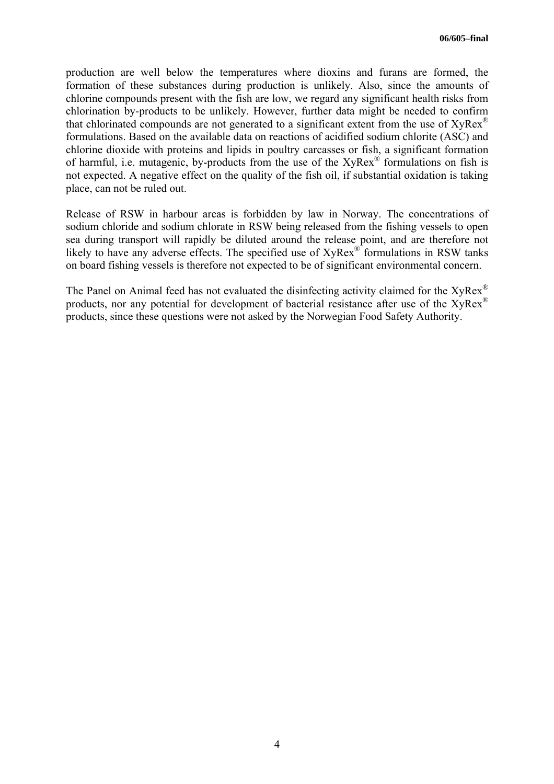production are well below the temperatures where dioxins and furans are formed, the formation of these substances during production is unlikely. Also, since the amounts of chlorine compounds present with the fish are low, we regard any significant health risks from chlorination by-products to be unlikely. However, further data might be needed to confirm that chlorinated compounds are not generated to a significant extent from the use of  $XyRex^{\circledR}$ formulations. Based on the available data on reactions of acidified sodium chlorite (ASC) and chlorine dioxide with proteins and lipids in poultry carcasses or fish, a significant formation of harmful, i.e. mutagenic, by-products from the use of the XyRex<sup>®</sup> formulations on fish is not expected. A negative effect on the quality of the fish oil, if substantial oxidation is taking place, can not be ruled out.

Release of RSW in harbour areas is forbidden by law in Norway. The concentrations of sodium chloride and sodium chlorate in RSW being released from the fishing vessels to open sea during transport will rapidly be diluted around the release point, and are therefore not likely to have any adverse effects. The specified use of XyRex<sup>®</sup> formulations in RSW tanks on board fishing vessels is therefore not expected to be of significant environmental concern.

The Panel on Animal feed has not evaluated the disinfecting activity claimed for the XyRex<sup>®</sup> products, nor any potential for development of bacterial resistance after use of the XyRex<sup>®</sup> products, since these questions were not asked by the Norwegian Food Safety Authority.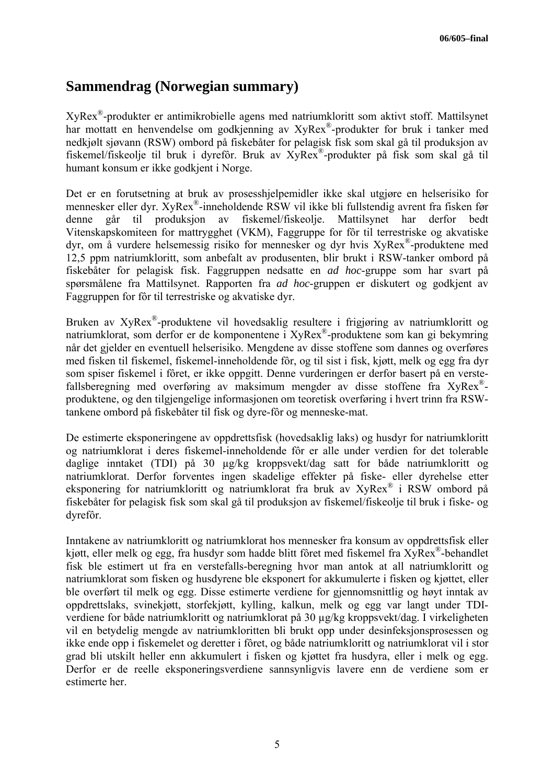## **Sammendrag (Norwegian summary)**

XyRex®-produkter er antimikrobielle agens med natriumkloritt som aktivt stoff. Mattilsynet har mottatt en henvendelse om godkjenning av XyRex®-produkter for bruk i tanker med nedkjølt sjøvann (RSW) ombord på fiskebåter for pelagisk fisk som skal gå til produksjon av fiskemel/fiskeolje til bruk i dyrefôr. Bruk av XyRex®-produkter på fisk som skal gå til humant konsum er ikke godkjent i Norge.

Det er en forutsetning at bruk av prosesshjelpemidler ikke skal utgjøre en helserisiko for mennesker eller dyr. XyRex®-inneholdende RSW vil ikke bli fullstendig avrent fra fisken før denne går til produksjon av fiskemel/fiskeolje. Mattilsynet har derfor bedt Vitenskapskomiteen for mattrygghet (VKM), Faggruppe for fôr til terrestriske og akvatiske dyr, om å vurdere helsemessig risiko for mennesker og dyr hvis XyRex®-produktene med 12,5 ppm natriumkloritt, som anbefalt av produsenten, blir brukt i RSW-tanker ombord på fiskebåter for pelagisk fisk. Faggruppen nedsatte en *ad hoc*-gruppe som har svart på spørsmålene fra Mattilsynet. Rapporten fra *ad hoc*-gruppen er diskutert og godkjent av Faggruppen for fôr til terrestriske og akvatiske dyr.

Bruken av XyRex®-produktene vil hovedsaklig resultere i frigjøring av natriumkloritt og natriumklorat, som derfor er de komponentene i XyRex®-produktene som kan gi bekymring når det gjelder en eventuell helserisiko. Mengdene av disse stoffene som dannes og overføres med fisken til fiskemel, fiskemel-inneholdende fôr, og til sist i fisk, kjøtt, melk og egg fra dyr som spiser fiskemel i fôret, er ikke oppgitt. Denne vurderingen er derfor basert på en verstefallsberegning med overføring av maksimum mengder av disse stoffene fra  $XvRex^{\mathcal{D}}$ produktene, og den tilgjengelige informasjonen om teoretisk overføring i hvert trinn fra RSWtankene ombord på fiskebåter til fisk og dyre-fôr og menneske-mat.

De estimerte eksponeringene av oppdrettsfisk (hovedsaklig laks) og husdyr for natriumkloritt og natriumklorat i deres fiskemel-inneholdende fôr er alle under verdien for det tolerable daglige inntaket (TDI) på 30 µg/kg kroppsvekt/dag satt for både natriumkloritt og natriumklorat. Derfor forventes ingen skadelige effekter på fiske- eller dyrehelse etter eksponering for natriumkloritt og natriumklorat fra bruk av XyRex® i RSW ombord på fiskebåter for pelagisk fisk som skal gå til produksjon av fiskemel/fiskeolje til bruk i fiske- og dyrefôr.

Inntakene av natriumkloritt og natriumklorat hos mennesker fra konsum av oppdrettsfisk eller kjøtt, eller melk og egg, fra husdyr som hadde blitt fôret med fiskemel fra XyRex®-behandlet fisk ble estimert ut fra en verstefalls-beregning hvor man antok at all natriumkloritt og natriumklorat som fisken og husdyrene ble eksponert for akkumulerte i fisken og kjøttet, eller ble overført til melk og egg. Disse estimerte verdiene for gjennomsnittlig og høyt inntak av oppdrettslaks, svinekjøtt, storfekjøtt, kylling, kalkun, melk og egg var langt under TDIverdiene for både natriumkloritt og natriumklorat på 30 µg/kg kroppsvekt/dag. I virkeligheten vil en betydelig mengde av natriumkloritten bli brukt opp under desinfeksjonsprosessen og ikke ende opp i fiskemelet og deretter i fôret, og både natriumkloritt og natriumklorat vil i stor grad bli utskilt heller enn akkumulert i fisken og kjøttet fra husdyra, eller i melk og egg. Derfor er de reelle eksponeringsverdiene sannsynligvis lavere enn de verdiene som er estimerte her.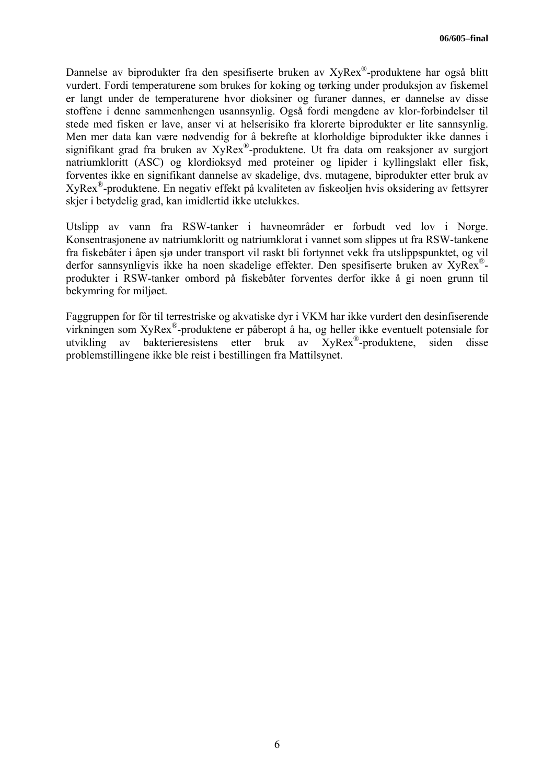Dannelse av biprodukter fra den spesifiserte bruken av XyRex®-produktene har også blitt vurdert. Fordi temperaturene som brukes for koking og tørking under produksjon av fiskemel er langt under de temperaturene hvor dioksiner og furaner dannes, er dannelse av disse stoffene i denne sammenhengen usannsynlig. Også fordi mengdene av klor-forbindelser til stede med fisken er lave, anser vi at helserisiko fra klorerte biprodukter er lite sannsynlig. Men mer data kan være nødvendig for å bekrefte at klorholdige biprodukter ikke dannes i signifikant grad fra bruken av XyRex®-produktene. Ut fra data om reaksjoner av surgjort natriumkloritt (ASC) og klordioksyd med proteiner og lipider i kyllingslakt eller fisk, forventes ikke en signifikant dannelse av skadelige, dvs. mutagene, biprodukter etter bruk av XyRex®-produktene. En negativ effekt på kvaliteten av fiskeoljen hvis oksidering av fettsyrer skjer i betydelig grad, kan imidlertid ikke utelukkes.

Utslipp av vann fra RSW-tanker i havneområder er forbudt ved lov i Norge. Konsentrasjonene av natriumkloritt og natriumklorat i vannet som slippes ut fra RSW-tankene fra fiskebåter i åpen sjø under transport vil raskt bli fortynnet vekk fra utslippspunktet, og vil derfor sannsynligvis ikke ha noen skadelige effekter. Den spesifiserte bruken av XyRex® produkter i RSW-tanker ombord på fiskebåter forventes derfor ikke å gi noen grunn til bekymring for miljøet.

Faggruppen for fôr til terrestriske og akvatiske dyr i VKM har ikke vurdert den desinfiserende virkningen som XyRex®-produktene er påberopt å ha, og heller ikke eventuelt potensiale for utvikling av bakterieresistens etter bruk av XyRex®-produktene, siden disse problemstillingene ikke ble reist i bestillingen fra Mattilsynet.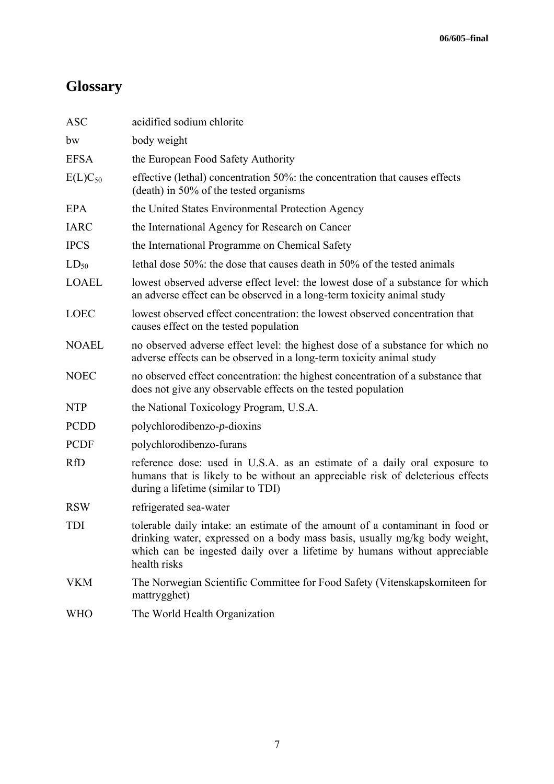# **Glossary**

| <b>ASC</b>   | acidified sodium chlorite                                                                                                                                                                                                                                |
|--------------|----------------------------------------------------------------------------------------------------------------------------------------------------------------------------------------------------------------------------------------------------------|
| bw           | body weight                                                                                                                                                                                                                                              |
| <b>EFSA</b>  | the European Food Safety Authority                                                                                                                                                                                                                       |
| $E(L)C_{50}$ | effective (lethal) concentration 50%: the concentration that causes effects<br>(death) in 50% of the tested organisms                                                                                                                                    |
| <b>EPA</b>   | the United States Environmental Protection Agency                                                                                                                                                                                                        |
| <b>IARC</b>  | the International Agency for Research on Cancer                                                                                                                                                                                                          |
| <b>IPCS</b>  | the International Programme on Chemical Safety                                                                                                                                                                                                           |
| $LD_{50}$    | lethal dose 50%: the dose that causes death in 50% of the tested animals                                                                                                                                                                                 |
| <b>LOAEL</b> | lowest observed adverse effect level: the lowest dose of a substance for which<br>an adverse effect can be observed in a long-term toxicity animal study                                                                                                 |
| <b>LOEC</b>  | lowest observed effect concentration: the lowest observed concentration that<br>causes effect on the tested population                                                                                                                                   |
| <b>NOAEL</b> | no observed adverse effect level: the highest dose of a substance for which no<br>adverse effects can be observed in a long-term toxicity animal study                                                                                                   |
| <b>NOEC</b>  | no observed effect concentration: the highest concentration of a substance that<br>does not give any observable effects on the tested population                                                                                                         |
| <b>NTP</b>   | the National Toxicology Program, U.S.A.                                                                                                                                                                                                                  |
| <b>PCDD</b>  | $polychlorodibenzo-p-dioxins$                                                                                                                                                                                                                            |
| <b>PCDF</b>  | polychlorodibenzo-furans                                                                                                                                                                                                                                 |
| <b>RfD</b>   | reference dose: used in U.S.A. as an estimate of a daily oral exposure to<br>humans that is likely to be without an appreciable risk of deleterious effects<br>during a lifetime (similar to TDI)                                                        |
| <b>RSW</b>   | refrigerated sea-water                                                                                                                                                                                                                                   |
| TDI          | tolerable daily intake: an estimate of the amount of a contaminant in food or<br>drinking water, expressed on a body mass basis, usually mg/kg body weight,<br>which can be ingested daily over a lifetime by humans without appreciable<br>health risks |
| <b>VKM</b>   | The Norwegian Scientific Committee for Food Safety (Vitenskapskomiteen for<br>mattrygghet)                                                                                                                                                               |
| <b>WHO</b>   | The World Health Organization                                                                                                                                                                                                                            |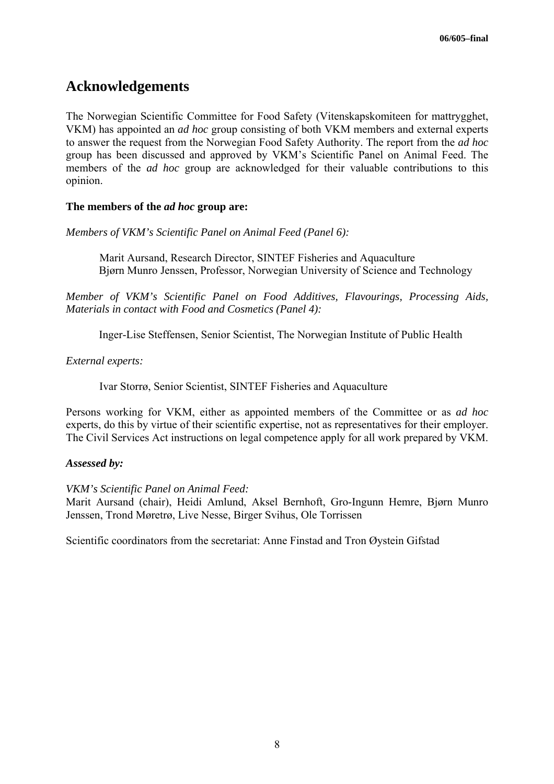## **Acknowledgements**

The Norwegian Scientific Committee for Food Safety (Vitenskapskomiteen for mattrygghet, VKM) has appointed an *ad hoc* group consisting of both VKM members and external experts to answer the request from the Norwegian Food Safety Authority. The report from the *ad hoc* group has been discussed and approved by VKM's Scientific Panel on Animal Feed. The members of the *ad hoc* group are acknowledged for their valuable contributions to this opinion.

### **The members of the** *ad hoc* **group are:**

*Members of VKM's Scientific Panel on Animal Feed (Panel 6):* 

Marit Aursand, Research Director, SINTEF Fisheries and Aquaculture Bjørn Munro Jenssen, Professor, Norwegian University of Science and Technology

*Member of VKM's Scientific Panel on Food Additives, Flavourings, Processing Aids, Materials in contact with Food and Cosmetics (Panel 4):* 

Inger-Lise Steffensen, Senior Scientist, The Norwegian Institute of Public Health

*External experts:* 

Ivar Storrø, Senior Scientist, SINTEF Fisheries and Aquaculture

Persons working for VKM, either as appointed members of the Committee or as *ad hoc* experts, do this by virtue of their scientific expertise, not as representatives for their employer. The Civil Services Act instructions on legal competence apply for all work prepared by VKM.

#### *Assessed by:*

*VKM's Scientific Panel on Animal Feed:* 

Marit Aursand (chair), Heidi Amlund, Aksel Bernhoft, Gro-Ingunn Hemre, Bjørn Munro Jenssen, Trond Møretrø, Live Nesse, Birger Svihus, Ole Torrissen

Scientific coordinators from the secretariat: Anne Finstad and Tron Øystein Gifstad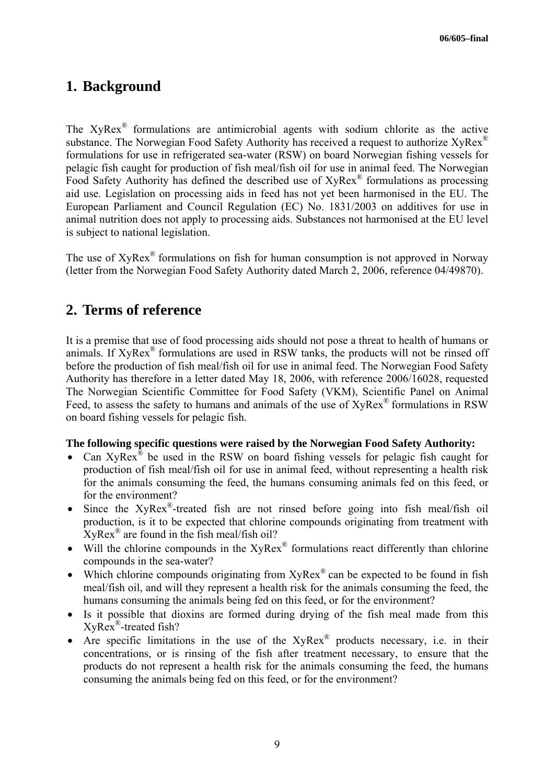## **1. Background**

The XyRex® formulations are antimicrobial agents with sodium chlorite as the active substance. The Norwegian Food Safety Authority has received a request to authorize  $XyRex^{\circledR}$ formulations for use in refrigerated sea-water (RSW) on board Norwegian fishing vessels for pelagic fish caught for production of fish meal/fish oil for use in animal feed. The Norwegian Food Safety Authority has defined the described use of XyRex® formulations as processing aid use. Legislation on processing aids in feed has not yet been harmonised in the EU. The European Parliament and Council Regulation (EC) No. 1831/2003 on additives for use in animal nutrition does not apply to processing aids. Substances not harmonised at the EU level is subject to national legislation.

The use of  $XyRex^{\circledR}$  formulations on fish for human consumption is not approved in Norway (letter from the Norwegian Food Safety Authority dated March 2, 2006, reference 04/49870).

## **2. Terms of reference**

It is a premise that use of food processing aids should not pose a threat to health of humans or animals. If XyRex® formulations are used in RSW tanks, the products will not be rinsed off before the production of fish meal/fish oil for use in animal feed. The Norwegian Food Safety Authority has therefore in a letter dated May 18, 2006, with reference 2006/16028, requested The Norwegian Scientific Committee for Food Safety (VKM), Scientific Panel on Animal Feed, to assess the safety to humans and animals of the use of  $\widehat{X}$ yRex<sup>®</sup> formulations in RSW on board fishing vessels for pelagic fish.

### **The following specific questions were raised by the Norwegian Food Safety Authority:**

- Can XyRex<sup>®</sup> be used in the RSW on board fishing vessels for pelagic fish caught for production of fish meal/fish oil for use in animal feed, without representing a health risk for the animals consuming the feed, the humans consuming animals fed on this feed, or for the environment?
- Since the XyRex®-treated fish are not rinsed before going into fish meal/fish oil production, is it to be expected that chlorine compounds originating from treatment with XyRex® are found in the fish meal/fish oil?
- Will the chlorine compounds in the  $XyRex^{\mathcal{R}}$  formulations react differently than chlorine compounds in the sea-water?
- Which chlorine compounds originating from  $XyRex^{\mathcal{R}}$  can be expected to be found in fish meal/fish oil, and will they represent a health risk for the animals consuming the feed, the humans consuming the animals being fed on this feed, or for the environment?
- Is it possible that dioxins are formed during drying of the fish meal made from this XyRex®-treated fish?
- Are specific limitations in the use of the  $XyRex^{\otimes}$  products necessary, i.e. in their concentrations, or is rinsing of the fish after treatment necessary, to ensure that the products do not represent a health risk for the animals consuming the feed, the humans consuming the animals being fed on this feed, or for the environment?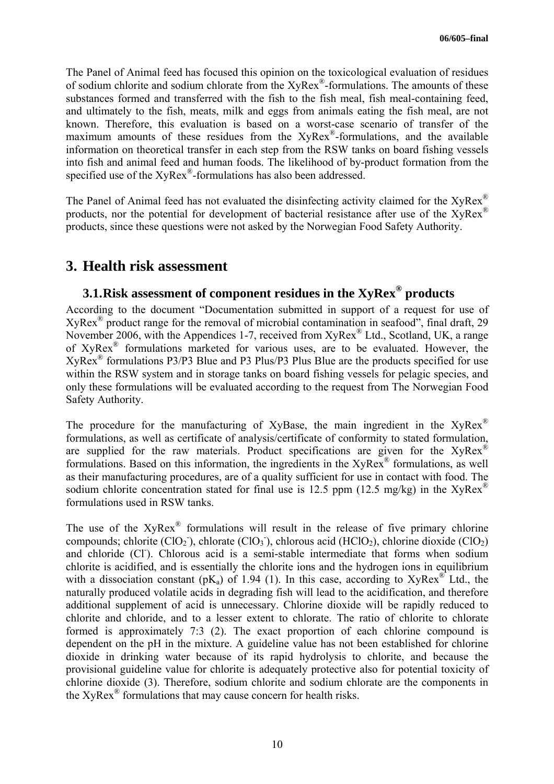The Panel of Animal feed has focused this opinion on the toxicological evaluation of residues of sodium chlorite and sodium chlorate from the XyRex®-formulations. The amounts of these substances formed and transferred with the fish to the fish meal, fish meal-containing feed, and ultimately to the fish, meats, milk and eggs from animals eating the fish meal, are not known. Therefore, this evaluation is based on a worst-case scenario of transfer of the maximum amounts of these residues from the XyRex<sup>®</sup>-formulations, and the available information on theoretical transfer in each step from the RSW tanks on board fishing vessels into fish and animal feed and human foods. The likelihood of by-product formation from the specified use of the XyRex<sup>®</sup>-formulations has also been addressed.

The Panel of Animal feed has not evaluated the disinfecting activity claimed for the  $XvRex^{\circledR}$ products, nor the potential for development of bacterial resistance after use of the XyRex® products, since these questions were not asked by the Norwegian Food Safety Authority.

## **3. Health risk assessment**

## **3.1.Risk assessment of component residues in the XyRex® products**

According to the document "Documentation submitted in support of a request for use of  $XvRex^{\circledR}$  product range for the removal of microbial contamination in seafood", final draft, 29 November 2006, with the Appendices 1-7, received from XyRex® Ltd., Scotland, UK, a range of XyRex® formulations marketed for various uses, are to be evaluated. However, the XyRex® formulations P3/P3 Blue and P3 Plus/P3 Plus Blue are the products specified for use within the RSW system and in storage tanks on board fishing vessels for pelagic species, and only these formulations will be evaluated according to the request from The Norwegian Food Safety Authority.

The procedure for the manufacturing of XyBase, the main ingredient in the  $XyRex^{\circledR}$ formulations, as well as certificate of analysis/certificate of conformity to stated formulation, are supplied for the raw materials. Product specifications are given for the  $XyRex^{\circledR}$ formulations. Based on this information, the ingredients in the  $XyRex^{\circledR}$  formulations, as well as their manufacturing procedures, are of a quality sufficient for use in contact with food. The sodium chlorite concentration stated for final use is 12.5 ppm (12.5 mg/kg) in the  $XyRex^{\mathcal{R}}$ formulations used in RSW tanks.

The use of the  $XyRex^{\circledR}$  formulations will result in the release of five primary chlorine compounds; chlorite  $(CIO<sub>2</sub>)$ , chlorate  $(CIO<sub>3</sub>)$ , chlorous acid  $(HClO<sub>2</sub>)$ , chlorine dioxide  $(CIO<sub>2</sub>)$ and chloride (CI). Chlorous acid is a semi-stable intermediate that forms when sodium chlorite is acidified, and is essentially the chlorite ions and the hydrogen ions in equilibrium with a dissociation constant ( $pK_a$ ) of 1.94 (1). In this case, according to XyRex<sup>®</sup> Ltd., the naturally produced volatile acids in degrading fish will lead to the acidification, and therefore additional supplement of acid is unnecessary. Chlorine dioxide will be rapidly reduced to chlorite and chloride, and to a lesser extent to chlorate. The ratio of chlorite to chlorate formed is approximately 7:3 (2). The exact proportion of each chlorine compound is dependent on the pH in the mixture. A guideline value has not been established for chlorine dioxide in drinking water because of its rapid hydrolysis to chlorite, and because the provisional guideline value for chlorite is adequately protective also for potential toxicity of chlorine dioxide (3). Therefore, sodium chlorite and sodium chlorate are the components in the XyRex® formulations that may cause concern for health risks.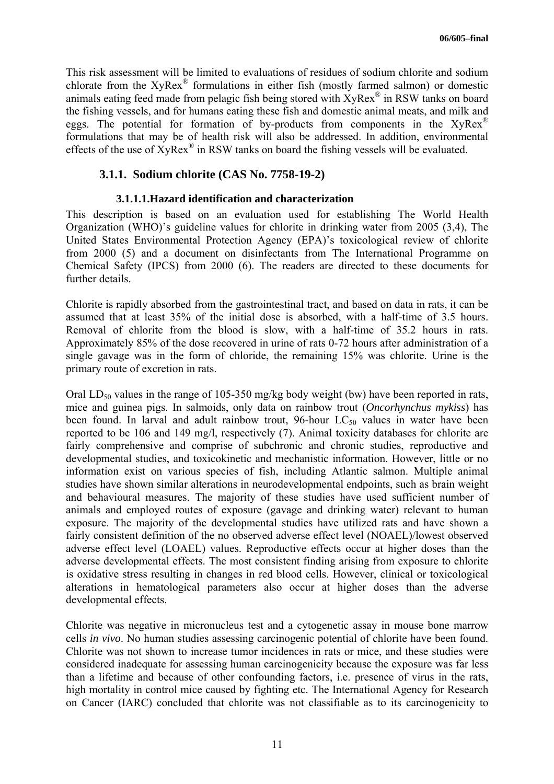This risk assessment will be limited to evaluations of residues of sodium chlorite and sodium chlorate from the XyRex® formulations in either fish (mostly farmed salmon) or domestic animals eating feed made from pelagic fish being stored with XyRex® in RSW tanks on board the fishing vessels, and for humans eating these fish and domestic animal meats, and milk and eggs. The potential for formation of by-products from components in the  $XyRex^{\circledR}$ formulations that may be of health risk will also be addressed. In addition, environmental effects of the use of XyRex® in RSW tanks on board the fishing vessels will be evaluated.

### **3.1.1. Sodium chlorite (CAS No. 7758-19-2)**

### **3.1.1.1.Hazard identification and characterization**

This description is based on an evaluation used for establishing The World Health Organization (WHO)'s guideline values for chlorite in drinking water from 2005 (3,4), The United States Environmental Protection Agency (EPA)'s toxicological review of chlorite from 2000 (5) and a document on disinfectants from The International Programme on Chemical Safety (IPCS) from 2000 (6). The readers are directed to these documents for further details.

Chlorite is rapidly absorbed from the gastrointestinal tract, and based on data in rats, it can be assumed that at least 35% of the initial dose is absorbed, with a half-time of 3.5 hours. Removal of chlorite from the blood is slow, with a half-time of 35.2 hours in rats. Approximately 85% of the dose recovered in urine of rats 0-72 hours after administration of a single gavage was in the form of chloride, the remaining 15% was chlorite. Urine is the primary route of excretion in rats.

Oral LD<sub>50</sub> values in the range of 105-350 mg/kg body weight (bw) have been reported in rats, mice and guinea pigs. In salmoids, only data on rainbow trout (*Oncorhynchus mykiss*) has been found. In larval and adult rainbow trout,  $96$ -hour  $LC_{50}$  values in water have been reported to be 106 and 149 mg/l, respectively (7). Animal toxicity databases for chlorite are fairly comprehensive and comprise of subchronic and chronic studies, reproductive and developmental studies, and toxicokinetic and mechanistic information. However, little or no information exist on various species of fish, including Atlantic salmon. Multiple animal studies have shown similar alterations in neurodevelopmental endpoints, such as brain weight and behavioural measures. The majority of these studies have used sufficient number of animals and employed routes of exposure (gavage and drinking water) relevant to human exposure. The majority of the developmental studies have utilized rats and have shown a fairly consistent definition of the no observed adverse effect level (NOAEL)/lowest observed adverse effect level (LOAEL) values. Reproductive effects occur at higher doses than the adverse developmental effects. The most consistent finding arising from exposure to chlorite is oxidative stress resulting in changes in red blood cells. However, clinical or toxicological alterations in hematological parameters also occur at higher doses than the adverse developmental effects.

Chlorite was negative in micronucleus test and a cytogenetic assay in mouse bone marrow cells *in vivo*. No human studies assessing carcinogenic potential of chlorite have been found. Chlorite was not shown to increase tumor incidences in rats or mice, and these studies were considered inadequate for assessing human carcinogenicity because the exposure was far less than a lifetime and because of other confounding factors, i.e. presence of virus in the rats, high mortality in control mice caused by fighting etc. The International Agency for Research on Cancer (IARC) concluded that chlorite was not classifiable as to its carcinogenicity to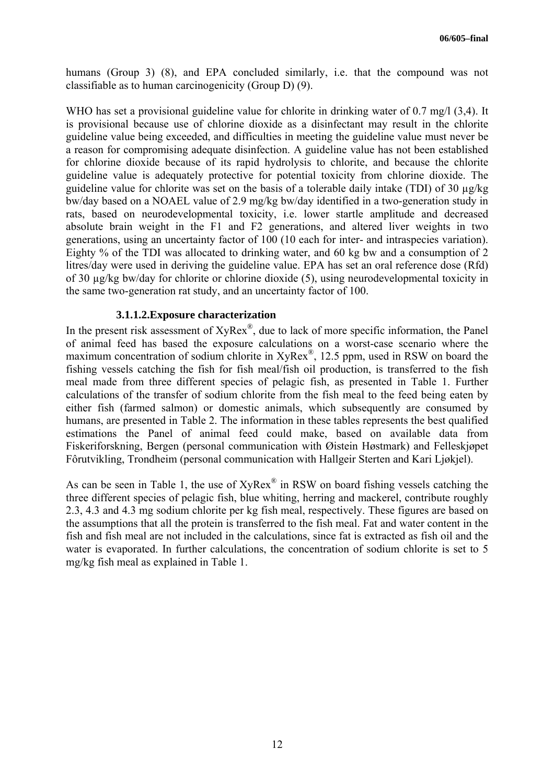humans (Group 3) (8), and EPA concluded similarly, i.e. that the compound was not classifiable as to human carcinogenicity (Group D) (9).

WHO has set a provisional guideline value for chlorite in drinking water of 0.7 mg/l (3.4). It is provisional because use of chlorine dioxide as a disinfectant may result in the chlorite guideline value being exceeded, and difficulties in meeting the guideline value must never be a reason for compromising adequate disinfection. A guideline value has not been established for chlorine dioxide because of its rapid hydrolysis to chlorite, and because the chlorite guideline value is adequately protective for potential toxicity from chlorine dioxide. The guideline value for chlorite was set on the basis of a tolerable daily intake (TDI) of 30 µg/kg bw/day based on a NOAEL value of 2.9 mg/kg bw/day identified in a two-generation study in rats, based on neurodevelopmental toxicity, i.e. lower startle amplitude and decreased absolute brain weight in the F1 and F2 generations, and altered liver weights in two generations, using an uncertainty factor of 100 (10 each for inter- and intraspecies variation). Eighty % of the TDI was allocated to drinking water, and 60 kg bw and a consumption of 2 litres/day were used in deriving the guideline value. EPA has set an oral reference dose (Rfd) of 30 µg/kg bw/day for chlorite or chlorine dioxide (5), using neurodevelopmental toxicity in the same two-generation rat study, and an uncertainty factor of 100.

#### **3.1.1.2.Exposure characterization**

In the present risk assessment of XyRex<sup>®</sup>, due to lack of more specific information, the Panel of animal feed has based the exposure calculations on a worst-case scenario where the maximum concentration of sodium chlorite in XyRex<sup>®</sup>, 12.5 ppm, used in RSW on board the fishing vessels catching the fish for fish meal/fish oil production, is transferred to the fish meal made from three different species of pelagic fish, as presented in Table 1. Further calculations of the transfer of sodium chlorite from the fish meal to the feed being eaten by either fish (farmed salmon) or domestic animals, which subsequently are consumed by humans, are presented in Table 2. The information in these tables represents the best qualified estimations the Panel of animal feed could make, based on available data from Fiskeriforskning, Bergen (personal communication with Øistein Høstmark) and Felleskjøpet Fôrutvikling, Trondheim (personal communication with Hallgeir Sterten and Kari Ljøkjel).

As can be seen in Table 1, the use of  $XyRex^{\mathcal{R}}$  in RSW on board fishing vessels catching the three different species of pelagic fish, blue whiting, herring and mackerel, contribute roughly 2.3, 4.3 and 4.3 mg sodium chlorite per kg fish meal, respectively. These figures are based on the assumptions that all the protein is transferred to the fish meal. Fat and water content in the fish and fish meal are not included in the calculations, since fat is extracted as fish oil and the water is evaporated. In further calculations, the concentration of sodium chlorite is set to 5 mg/kg fish meal as explained in Table 1.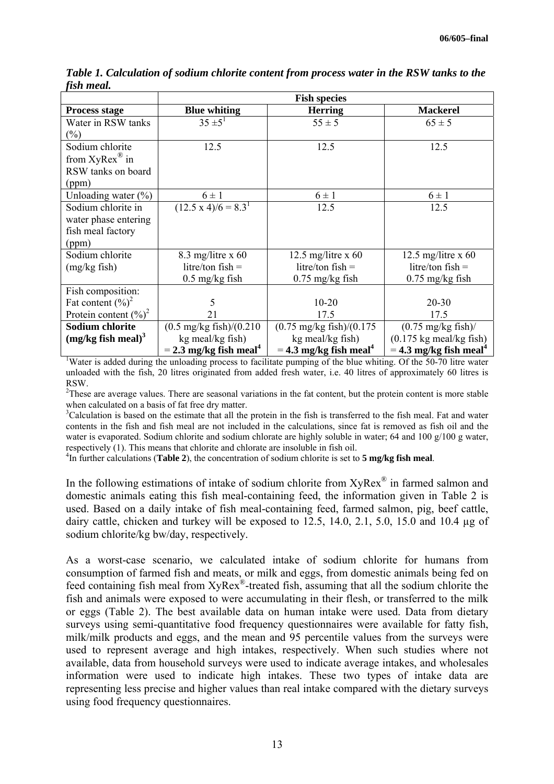|                                  | <b>Fish species</b>                      |                                      |                                           |  |  |  |  |
|----------------------------------|------------------------------------------|--------------------------------------|-------------------------------------------|--|--|--|--|
| Process stage                    | <b>Blue whiting</b>                      | <b>Herring</b>                       | <b>Mackerel</b>                           |  |  |  |  |
| Water in RSW tanks               | $35 \pm 5^1$                             | $55 \pm 5$                           | $65 \pm 5$                                |  |  |  |  |
| $(\%)$                           |                                          |                                      |                                           |  |  |  |  |
| Sodium chlorite                  | 12.5                                     | 12.5                                 | 12.5                                      |  |  |  |  |
| from $XyRex^{\circledR}$ in      |                                          |                                      |                                           |  |  |  |  |
| RSW tanks on board               |                                          |                                      |                                           |  |  |  |  |
| (ppm)                            |                                          |                                      |                                           |  |  |  |  |
| Unloading water $(\%)$           | $6 \pm 1$                                | $6 \pm 1$                            | $6 \pm 1$                                 |  |  |  |  |
| Sodium chlorite in               | $\overline{(12.5 \times 4)/6} = 8.3^{1}$ | 12.5                                 | 12.5                                      |  |  |  |  |
| water phase entering             |                                          |                                      |                                           |  |  |  |  |
| fish meal factory                |                                          |                                      |                                           |  |  |  |  |
| (ppm)                            |                                          |                                      |                                           |  |  |  |  |
| Sodium chlorite                  | 8.3 mg/litre x $60$                      | 12.5 mg/litre x $60$                 | 12.5 mg/litre $x$ 60                      |  |  |  |  |
| $(mg/kg$ fish)                   | $litre/ton fish =$                       | litre/ton $fish =$                   | litre/ton $fish =$                        |  |  |  |  |
|                                  | $0.5$ mg/kg fish                         | $0.75$ mg/kg fish                    | $0.75$ mg/kg fish                         |  |  |  |  |
| Fish composition:                |                                          |                                      |                                           |  |  |  |  |
| Fat content $(\%)^2$             | 5                                        | $10 - 20$                            | $20 - 30$                                 |  |  |  |  |
| Protein content $(\%)^2$<br>21   |                                          | 17.5                                 | 17.5                                      |  |  |  |  |
| <b>Sodium chlorite</b>           | $(0.5 \text{ mg/kg fish})/(0.210$        | $(0.75 \text{ mg/kg fish})/(0.175$   | $(0.75 \text{ mg/kg fish})$               |  |  |  |  |
| $(mg/kg$ fish meal) <sup>3</sup> | kg meal/kg fish)                         | kg meal/kg fish)                     | $(0.175 \text{ kg} \text{ meal/kg fish})$ |  |  |  |  |
|                                  | $=$ 2.3 mg/kg fish meal <sup>4</sup>     | $=$ 4.3 mg/kg fish meal <sup>4</sup> | $=$ 4.3 mg/kg fish meal <sup>4</sup>      |  |  |  |  |

*Table 1. Calculation of sodium chlorite content from process water in the RSW tanks to the fish meal.* 

<sup>1</sup>Water is added during the unloading process to facilitate pumping of the blue whiting. Of the 50-70 litre water unloaded with the fish, 20 litres originated from added fresh water, i.e. 40 litres of approximately 60 litres is RSW.

 $2$ These are average values. There are seasonal variations in the fat content, but the protein content is more stable when calculated on a basis of fat free dry matter.

 ${}^{3}$ Calculation is based on the estimate that all the protein in the fish is transferred to the fish meal. Fat and water contents in the fish and fish meal are not included in the calculations, since fat is removed as fish oil and the water is evaporated. Sodium chlorite and sodium chlorate are highly soluble in water; 64 and 100 g/100 g water, respectively (1). This means that chlorite and chlorate are insoluble in fish oil. 4

In further calculations (**Table 2**), the concentration of sodium chlorite is set to **5 mg/kg fish meal**.

In the following estimations of intake of sodium chlorite from  $XyRex^{\circledast}$  in farmed salmon and domestic animals eating this fish meal-containing feed, the information given in Table 2 is used. Based on a daily intake of fish meal-containing feed, farmed salmon, pig, beef cattle, dairy cattle, chicken and turkey will be exposed to 12.5, 14.0, 2.1, 5.0, 15.0 and 10.4 µg of sodium chlorite/kg bw/day, respectively.

As a worst-case scenario, we calculated intake of sodium chlorite for humans from consumption of farmed fish and meats, or milk and eggs, from domestic animals being fed on feed containing fish meal from XyRex ®-treated fish, assuming that all the sodium chlorite the fish and animals were exposed to were accumulating in their flesh, or transferred to the milk or eggs (Table 2). The best available data on human intake were used. Data from dietary surveys using semi-quantitative food frequency questionnaires were available for fatty fish, milk/milk products and eggs, and the mean and 95 percentile values from the surveys were used to represent average and high intakes, respectively. When such studies where not available, data from household surveys were used to indicate average intakes, and wholesales information were used to indicate high intakes. These two types of intake data are representing less precise and higher values than real intake compared with the dietary surveys using food frequency questionnaires.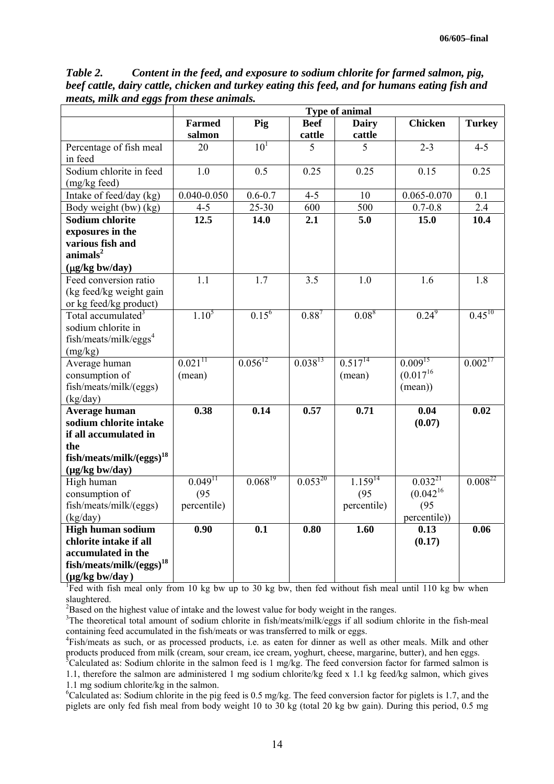|                                      |                       |                 |              | Type of animal |                 |                        |
|--------------------------------------|-----------------------|-----------------|--------------|----------------|-----------------|------------------------|
|                                      | <b>Farmed</b>         | Pig             | <b>Beef</b>  | <b>Dairy</b>   | <b>Chicken</b>  | <b>Turkey</b>          |
|                                      | salmon                |                 | cattle       | cattle         |                 |                        |
| Percentage of fish meal              | 20                    | 10 <sup>1</sup> | 5            | 5              | $2 - 3$         | $4 - 5$                |
| in feed                              |                       |                 |              |                |                 |                        |
| Sodium chlorite in feed              | $\overline{1.0}$      | 0.5             | 0.25         | 0.25           | 0.15            | 0.25                   |
| (mg/kg feed)                         |                       |                 |              |                |                 |                        |
| Intake of feed/day (kg)              | $0.040 - 0.050$       | $0.6 - 0.7$     | $4 - 5$      | 10             | $0.065 - 0.070$ | 0.1                    |
| Body weight (bw) (kg)                | $4 - 5$               | $25 - 30$       | 600          | 500            | $0.7 - 0.8$     | 2.4                    |
| <b>Sodium chlorite</b>               | 12.5                  | 14.0            | 2.1          | 5.0            | 15.0            | 10.4                   |
| exposures in the                     |                       |                 |              |                |                 |                        |
| various fish and                     |                       |                 |              |                |                 |                        |
| $\text{animals}^2$                   |                       |                 |              |                |                 |                        |
| $(\mu g/kg$ bw/day)                  |                       |                 |              |                |                 |                        |
| Feed conversion ratio                | 1.1                   | 1.7             | 3.5          | 1.0            | 1.6             | 1.8                    |
| (kg feed/kg weight gain              |                       |                 |              |                |                 |                        |
| or kg feed/kg product)               |                       |                 |              |                |                 |                        |
| Total accumulated <sup>3</sup>       | $1.10^5$              | $0.15^6$        | $0.88^{7}$   | $0.08^{8}$     | $0.24^{9}$      | $0.\overline{45^{10}}$ |
| sodium chlorite in                   |                       |                 |              |                |                 |                        |
| fish/meats/milk/eggs <sup>4</sup>    |                       |                 |              |                |                 |                        |
| (mg/kg)                              |                       |                 |              |                |                 |                        |
| Average human                        | $0.021$ <sup>11</sup> | $0.056^{12}$    | $0.038^{13}$ | $0.517^{14}$   | $0.009^{15}$    | $0.002^{17}$           |
| consumption of                       | (mean)                |                 |              | (mean)         | $(0.017^{16}$   |                        |
| fish/meats/milk/(eggs)               |                       |                 |              |                | (mean))         |                        |
| (kg/day)                             |                       |                 |              |                |                 |                        |
| Average human                        | 0.38                  | 0.14            | 0.57         | 0.71           | 0.04            | 0.02                   |
| sodium chlorite intake               |                       |                 |              |                | (0.07)          |                        |
| if all accumulated in                |                       |                 |              |                |                 |                        |
| the                                  |                       |                 |              |                |                 |                        |
| fish/meats/milk/(eggs) <sup>18</sup> |                       |                 |              |                |                 |                        |
| $(\mu g/kg$ bw/day)                  |                       |                 |              |                |                 |                        |
| High human                           | $0.049$ <sup>11</sup> | $0.068^{19}$    | $0.053^{20}$ | $1.159^{14}$   | $0.032^{21}$    | $0.008^{22}$           |
| consumption of                       | (95)                  |                 |              | (95)           | $(0.042^{16})$  |                        |
| fish/meats/milk/(eggs)               | percentile)           |                 |              | percentile)    | (95)            |                        |
| (kg/day)                             |                       |                 |              |                | percentile))    |                        |
| High human sodium                    | 0.90                  | 0.1             | 0.80         | 1.60           | 0.13            | 0.06                   |
| chlorite intake if all               |                       |                 |              |                | (0.17)          |                        |
| accumulated in the                   |                       |                 |              |                |                 |                        |
| fish/meats/milk/(eggs) <sup>18</sup> |                       |                 |              |                |                 |                        |
| $(\mu g/kg$ bw/day)                  |                       |                 |              |                |                 |                        |

*Table 2. Content in the feed, and exposure to sodium chlorite for farmed salmon, pig, beef cattle, dairy cattle, chicken and turkey eating this feed, and for humans eating fish and meats, milk and eggs from these animals.* 

<sup>1</sup>Fed with fish meal only from 10 kg bw up to 30 kg bw, then fed without fish meal until 110 kg bw when slaughtered

 $B$ ased on the highest value of intake and the lowest value for body weight in the ranges.

<sup>3</sup>The theoretical total amount of sodium chlorite in fish/meats/milk/eggs if all sodium chlorite in the fish-meal containing feed accumulated in the fish/meats or was transferred to milk or eggs. 4

Fish/meats as such, or as processed products, i.e. as eaten for dinner as well as other meals. Milk and other products produced from milk (cream, sour cream, ice cream, yoghurt, cheese, margarine, butter), and hen eggs. 5

 $5$ Calculated as: Sodium chlorite in the salmon feed is 1 mg/kg. The feed conversion factor for farmed salmon is 1.1, therefore the salmon are administered 1 mg sodium chlorite/kg feed x 1.1 kg feed/kg salmon, which gives 1.1 mg sodium chlorite/kg in the salmon. <sup>6</sup>

 ${}^6$ Calculated as: Sodium chlorite in the pig feed is 0.5 mg/kg. The feed conversion factor for piglets is 1.7, and the piglets are only fed fish meal from body weight 10 to 30 kg (total 20 kg bw gain). During this period, 0.5 mg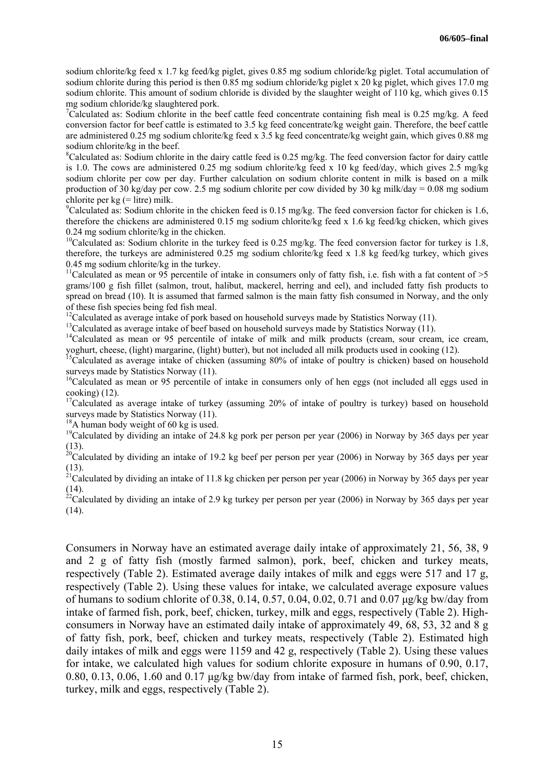sodium chlorite/kg feed x 1.7 kg feed/kg piglet, gives 0.85 mg sodium chloride/kg piglet. Total accumulation of sodium chlorite during this period is then 0.85 mg sodium chloride/kg piglet x 20 kg piglet, which gives 17.0 mg sodium chlorite. This amount of sodium chloride is divided by the slaughter weight of 110 kg, which gives 0.15 mg sodium chloride/kg slaughtered pork. 7

<sup>7</sup>Calculated as: Sodium chlorite in the beef cattle feed concentrate containing fish meal is 0.25 mg/kg. A feed conversion factor for beef cattle is estimated to 3.5 kg feed concentrate/kg weight gain. Therefore, the beef cattle are administered 0.25 mg sodium chlorite/kg feed x 3.5 kg feed concentrate/kg weight gain, which gives 0.88 mg sodium chlorite/kg in the beef.

 ${}^8$ Calculated as: Sodium chlorite in the dairy cattle feed is 0.25 mg/kg. The feed conversion factor for dairy cattle is 1.0. The cows are administered 0.25 mg sodium chlorite/kg feed x 10 kg feed/day, which gives 2.5 mg/kg sodium chlorite per cow per day. Further calculation on sodium chlorite content in milk is based on a milk production of 30 kg/day per cow. 2.5 mg sodium chlorite per cow divided by 30 kg milk/day = 0.08 mg sodium chlorite per  $kg$  (= litre) milk.

<sup>9</sup>Calculated as: Sodium chlorite in the chicken feed is 0.15 mg/kg. The feed conversion factor for chicken is 1.6, therefore the chickens are administered 0.15 mg sodium chlorite/kg feed x 1.6 kg feed/kg chicken, which gives 0.24 mg sodium chlorite/kg in the chicken.<br><sup>10</sup>Calculated as: Sodium chlorite in the turkey feed is 0.25 mg/kg. The feed conversion factor for turkey is 1.8,

therefore, the turkeys are administered 0.25 mg sodium chlorite/kg feed x 1.8 kg feed/kg turkey, which gives 0.45 mg sodium chlorite/kg in the turkey.<br><sup>11</sup>Calculated as mean or 95 percentile of intake in consumers only of fatty fish, i.e. fish with a fat content of >5

grams/100 g fish fillet (salmon, trout, halibut, mackerel, herring and eel), and included fatty fish products to spread on bread (10). It is assumed that farmed salmon is the main fatty fish consumed in Norway, and the only of these fish species being fed fish meal.

<sup>12</sup>Calculated as average intake of pork based on household surveys made by Statistics Norway (11).<br><sup>13</sup>Calculated as average intake of beef based on household surveys made by Statistics Norway (11).<br><sup>14</sup>Calculated as mea yoghurt, cheese, (light) margarine, (light) butter), but not included all milk products used in cooking (12).<br><sup>15</sup>Calculated as average intake of chicken (assuming 80% of intake of poultry is chicken) based on household

surveys made by Statistics Norway (11).<br><sup>16</sup>Calculated as mean or 95 percentile of intake in consumers only of hen eggs (not included all eggs used in

cooking) (12). <sup>17</sup>Calculated as average intake of turkey (assuming 20% of intake of poultry is turkey) based on household surveys made by Statistics Norway (11).

<sup>18</sup>A human body weight of 60 kg is used. <sup>19</sup>Calculated by dividing an intake of 24.8 kg pork per person per year (2006) in Norway by 365 days per year  $\frac{10}{10}$ Calculated by dividing an intake of 24.8 kg pork per pers

(13). <sup>20</sup>Calculated by dividing an intake of 19.2 kg beef per person per year (2006) in Norway by 365 days per year (13). <sup>21</sup>Calculated by dividing an intake of 11.8 kg chicken per person per year (2006) in Norway by 365 days per year

(14). <sup>22</sup>Calculated by dividing an intake of 2.9 kg turkey per person per year (2006) in Norway by 365 days per year (14).

Consumers in Norway have an estimated average daily intake of approximately 21, 56, 38, 9 and 2 g of fatty fish (mostly farmed salmon), pork, beef, chicken and turkey meats, respectively (Table 2). Estimated average daily intakes of milk and eggs were 517 and 17 g, respectively (Table 2). Using these values for intake, we calculated average exposure values of humans to sodium chlorite of 0.38, 0.14, 0.57, 0.04, 0.02, 0.71 and 0.07 µg/kg bw/day from intake of farmed fish, pork, beef, chicken, turkey, milk and eggs, respectively (Table 2). Highconsumers in Norway have an estimated daily intake of approximately 49, 68, 53, 32 and 8 g of fatty fish, pork, beef, chicken and turkey meats, respectively (Table 2). Estimated high daily intakes of milk and eggs were 1159 and 42 g, respectively (Table 2). Using these values for intake, we calculated high values for sodium chlorite exposure in humans of 0.90, 0.17, 0.80, 0.13, 0.06, 1.60 and 0.17 µg/kg bw/day from intake of farmed fish, pork, beef, chicken, turkey, milk and eggs, respectively (Table 2).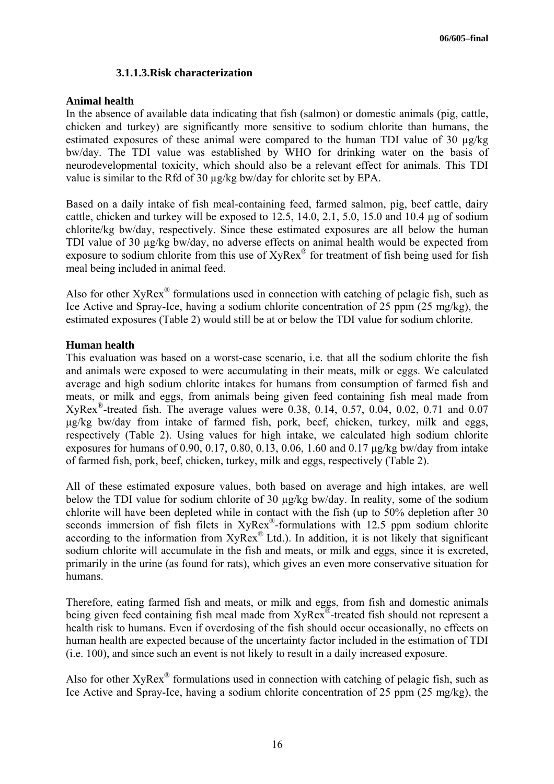### **3.1.1.3.Risk characterization**

#### **Animal health**

In the absence of available data indicating that fish (salmon) or domestic animals (pig, cattle, chicken and turkey) are significantly more sensitive to sodium chlorite than humans, the estimated exposures of these animal were compared to the human TDI value of 30 ug/kg bw/day. The TDI value was established by WHO for drinking water on the basis of neurodevelopmental toxicity, which should also be a relevant effect for animals. This TDI value is similar to the Rfd of 30 µg/kg bw/day for chlorite set by EPA.

Based on a daily intake of fish meal-containing feed, farmed salmon, pig, beef cattle, dairy cattle, chicken and turkey will be exposed to  $12.5$ ,  $14.0$ ,  $2.1$ ,  $5.0$ ,  $15.0$  and  $10.4$  µg of sodium chlorite/kg bw/day, respectively. Since these estimated exposures are all below the human TDI value of 30 µg/kg bw/day, no adverse effects on animal health would be expected from exposure to sodium chlorite from this use of  $XyRex^{\mathcal{D}}$  for treatment of fish being used for fish meal being included in animal feed.

Also for other  $XyRex^{\otimes}$  formulations used in connection with catching of pelagic fish, such as Ice Active and Spray-Ice, having a sodium chlorite concentration of 25 ppm (25 mg/kg), the estimated exposures (Table 2) would still be at or below the TDI value for sodium chlorite.

### **Human health**

This evaluation was based on a worst-case scenario, i.e. that all the sodium chlorite the fish and animals were exposed to were accumulating in their meats, milk or eggs. We calculated average and high sodium chlorite intakes for humans from consumption of farmed fish and meats, or milk and eggs, from animals being given feed containing fish meal made from XyRex®-treated fish. The average values were 0.38, 0.14, 0.57, 0.04, 0.02, 0.71 and 0.07 µg/kg bw/day from intake of farmed fish, pork, beef, chicken, turkey, milk and eggs, respectively (Table 2). Using values for high intake, we calculated high sodium chlorite exposures for humans of 0.90, 0.17, 0.80, 0.13, 0.06, 1.60 and 0.17 µg/kg bw/day from intake of farmed fish, pork, beef, chicken, turkey, milk and eggs, respectively (Table 2).

All of these estimated exposure values, both based on average and high intakes, are well below the TDI value for sodium chlorite of 30 µg/kg bw/day. In reality, some of the sodium chlorite will have been depleted while in contact with the fish (up to 50% depletion after 30 seconds immersion of fish filets in  $XvRex^*$ -formulations with 12.5 ppm sodium chlorite according to the information from XyRex<sup>®</sup> Ltd.). In addition, it is not likely that significant sodium chlorite will accumulate in the fish and meats, or milk and eggs, since it is excreted, primarily in the urine (as found for rats), which gives an even more conservative situation for humans.

Therefore, eating farmed fish and meats, or milk and eggs, from fish and domestic animals being given feed containing fish meal made from XyRex<sup>®</sup>-treated fish should not represent a health risk to humans. Even if overdosing of the fish should occur occasionally, no effects on human health are expected because of the uncertainty factor included in the estimation of TDI (i.e. 100), and since such an event is not likely to result in a daily increased exposure.

Also for other  $XyRex^{\otimes}$  formulations used in connection with catching of pelagic fish, such as Ice Active and Spray-Ice, having a sodium chlorite concentration of 25 ppm (25 mg/kg), the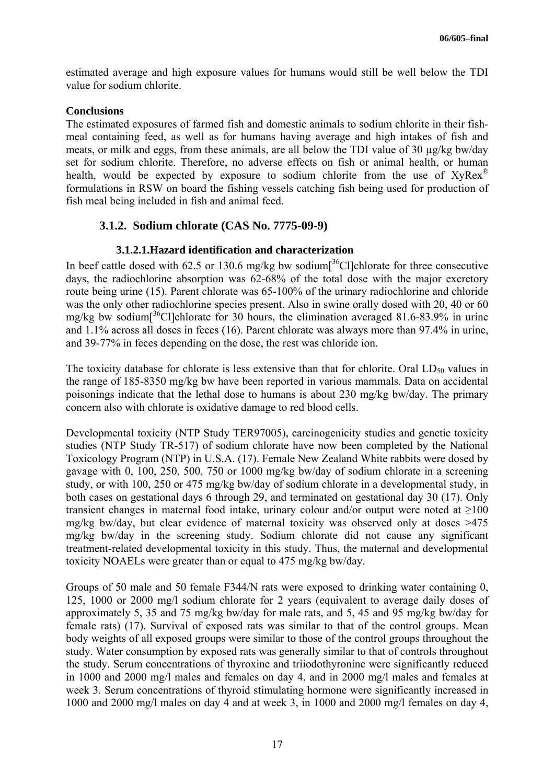estimated average and high exposure values for humans would still be well below the TDI value for sodium chlorite.

### **Conclusions**

The estimated exposures of farmed fish and domestic animals to sodium chlorite in their fishmeal containing feed, as well as for humans having average and high intakes of fish and meats, or milk and eggs, from these animals, are all below the TDI value of 30 µg/kg bw/day set for sodium chlorite. Therefore, no adverse effects on fish or animal health, or human health, would be expected by exposure to sodium chlorite from the use of  $XyRex^{\circ}$ formulations in RSW on board the fishing vessels catching fish being used for production of fish meal being included in fish and animal feed.

## **3.1.2. Sodium chlorate (CAS No. 7775-09-9)**

## **3.1.2.1.Hazard identification and characterization**

In beef cattle dosed with 62.5 or 130.6 mg/kg bw sodium<sup>[36</sup>Cl]chlorate for three consecutive days, the radiochlorine absorption was 62-68% of the total dose with the major excretory route being urine (15). Parent chlorate was 65-100% of the urinary radiochlorine and chloride was the only other radiochlorine species present. Also in swine orally dosed with 20, 40 or 60 mg/kg bw sodium<sup>[36</sup>Cl]chlorate for 30 hours, the elimination averaged 81.6-83.9% in urine and 1.1% across all doses in feces (16). Parent chlorate was always more than 97.4% in urine, and 39-77% in feces depending on the dose, the rest was chloride ion.

The toxicity database for chlorate is less extensive than that for chlorite. Oral  $LD_{50}$  values in the range of 185-8350 mg/kg bw have been reported in various mammals. Data on accidental poisonings indicate that the lethal dose to humans is about 230 mg/kg bw/day. The primary concern also with chlorate is oxidative damage to red blood cells.

Developmental toxicity (NTP Study TER97005), carcinogenicity studies and genetic toxicity studies (NTP Study TR-517) of sodium chlorate have now been completed by the National Toxicology Program (NTP) in U.S.A. (17). Female New Zealand White rabbits were dosed by gavage with 0, 100, 250, 500, 750 or 1000 mg/kg bw/day of sodium chlorate in a screening study, or with 100, 250 or 475 mg/kg bw/day of sodium chlorate in a developmental study, in both cases on gestational days 6 through 29, and terminated on gestational day 30 (17). Only transient changes in maternal food intake, urinary colour and/or output were noted at  $\geq 100$ mg/kg bw/day, but clear evidence of maternal toxicity was observed only at doses >475 mg/kg bw/day in the screening study. Sodium chlorate did not cause any significant treatment-related developmental toxicity in this study. Thus, the maternal and developmental toxicity NOAELs were greater than or equal to 475 mg/kg bw/day.

Groups of 50 male and 50 female F344/N rats were exposed to drinking water containing 0, 125, 1000 or 2000 mg/l sodium chlorate for 2 years (equivalent to average daily doses of approximately 5, 35 and 75 mg/kg bw/day for male rats, and 5, 45 and 95 mg/kg bw/day for female rats) (17). Survival of exposed rats was similar to that of the control groups. Mean body weights of all exposed groups were similar to those of the control groups throughout the study. Water consumption by exposed rats was generally similar to that of controls throughout the study. Serum concentrations of thyroxine and triiodothyronine were significantly reduced in 1000 and 2000 mg/l males and females on day 4, and in 2000 mg/l males and females at week 3. Serum concentrations of thyroid stimulating hormone were significantly increased in 1000 and 2000 mg/l males on day 4 and at week 3, in 1000 and 2000 mg/l females on day 4,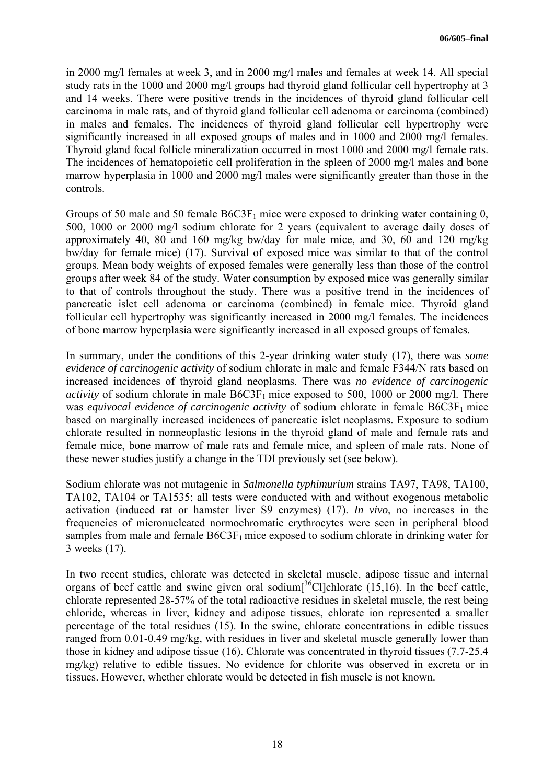in 2000 mg/l females at week 3, and in 2000 mg/l males and females at week 14. All special study rats in the 1000 and 2000 mg/l groups had thyroid gland follicular cell hypertrophy at 3 and 14 weeks. There were positive trends in the incidences of thyroid gland follicular cell carcinoma in male rats, and of thyroid gland follicular cell adenoma or carcinoma (combined) in males and females. The incidences of thyroid gland follicular cell hypertrophy were significantly increased in all exposed groups of males and in 1000 and 2000 mg/l females. Thyroid gland focal follicle mineralization occurred in most 1000 and 2000 mg/l female rats. The incidences of hematopoietic cell proliferation in the spleen of 2000 mg/l males and bone marrow hyperplasia in 1000 and 2000 mg/l males were significantly greater than those in the controls.

Groups of 50 male and 50 female  $B6C3F<sub>1</sub>$  mice were exposed to drinking water containing 0, 500, 1000 or 2000 mg/l sodium chlorate for 2 years (equivalent to average daily doses of approximately 40, 80 and 160 mg/kg bw/day for male mice, and 30, 60 and 120 mg/kg bw/day for female mice) (17). Survival of exposed mice was similar to that of the control groups. Mean body weights of exposed females were generally less than those of the control groups after week 84 of the study. Water consumption by exposed mice was generally similar to that of controls throughout the study. There was a positive trend in the incidences of pancreatic islet cell adenoma or carcinoma (combined) in female mice. Thyroid gland follicular cell hypertrophy was significantly increased in 2000 mg/l females. The incidences of bone marrow hyperplasia were significantly increased in all exposed groups of females.

In summary, under the conditions of this 2-year drinking water study (17), there was *some evidence of carcinogenic activity* of sodium chlorate in male and female F344/N rats based on increased incidences of thyroid gland neoplasms. There was *no evidence of carcinogenic activity* of sodium chlorate in male  $B6C3F<sub>1</sub>$  mice exposed to 500, 1000 or 2000 mg/l. There was *equivocal evidence of carcinogenic activity* of sodium chlorate in female B6C3F<sub>1</sub> mice based on marginally increased incidences of pancreatic islet neoplasms. Exposure to sodium chlorate resulted in nonneoplastic lesions in the thyroid gland of male and female rats and female mice, bone marrow of male rats and female mice, and spleen of male rats. None of these newer studies justify a change in the TDI previously set (see below).

Sodium chlorate was not mutagenic in *Salmonella typhimurium* strains TA97, TA98, TA100, TA102, TA104 or TA1535; all tests were conducted with and without exogenous metabolic activation (induced rat or hamster liver S9 enzymes) (17). *In vivo*, no increases in the frequencies of micronucleated normochromatic erythrocytes were seen in peripheral blood samples from male and female  $B6C3F_1$  mice exposed to sodium chlorate in drinking water for 3 weeks (17).

In two recent studies, chlorate was detected in skeletal muscle, adipose tissue and internal organs of beef cattle and swine given oral sodium $\int_0^{36}$ Cl]chlorate (15,16). In the beef cattle, chlorate represented 28-57% of the total radioactive residues in skeletal muscle, the rest being chloride, whereas in liver, kidney and adipose tissues, chlorate ion represented a smaller percentage of the total residues (15). In the swine, chlorate concentrations in edible tissues ranged from 0.01-0.49 mg/kg, with residues in liver and skeletal muscle generally lower than those in kidney and adipose tissue (16). Chlorate was concentrated in thyroid tissues (7.7-25.4 mg/kg) relative to edible tissues. No evidence for chlorite was observed in excreta or in tissues. However, whether chlorate would be detected in fish muscle is not known.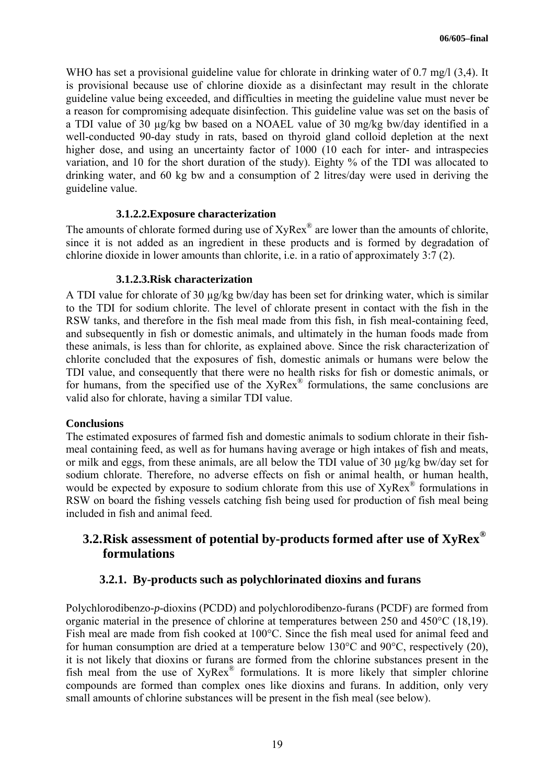WHO has set a provisional guideline value for chlorate in drinking water of 0.7 mg/l (3,4). It is provisional because use of chlorine dioxide as a disinfectant may result in the chlorate guideline value being exceeded, and difficulties in meeting the guideline value must never be a reason for compromising adequate disinfection. This guideline value was set on the basis of a TDI value of 30 µg/kg bw based on a NOAEL value of 30 mg/kg bw/day identified in a well-conducted 90-day study in rats, based on thyroid gland colloid depletion at the next higher dose, and using an uncertainty factor of 1000 (10 each for inter- and intraspecies variation, and 10 for the short duration of the study). Eighty % of the TDI was allocated to drinking water, and 60 kg bw and a consumption of 2 litres/day were used in deriving the guideline value.

#### **3.1.2.2.Exposure characterization**

The amounts of chlorate formed during use of  $XyRex^{\circ}$  are lower than the amounts of chlorite, since it is not added as an ingredient in these products and is formed by degradation of chlorine dioxide in lower amounts than chlorite, i.e. in a ratio of approximately 3:7 (2).

### **3.1.2.3.Risk characterization**

A TDI value for chlorate of 30  $\mu$ g/kg bw/day has been set for drinking water, which is similar to the TDI for sodium chlorite. The level of chlorate present in contact with the fish in the RSW tanks, and therefore in the fish meal made from this fish, in fish meal-containing feed, and subsequently in fish or domestic animals, and ultimately in the human foods made from these animals, is less than for chlorite, as explained above. Since the risk characterization of chlorite concluded that the exposures of fish, domestic animals or humans were below the TDI value, and consequently that there were no health risks for fish or domestic animals, or for humans, from the specified use of the XyRex<sup>®</sup> formulations, the same conclusions are valid also for chlorate, having a similar TDI value.

#### **Conclusions**

The estimated exposures of farmed fish and domestic animals to sodium chlorate in their fishmeal containing feed, as well as for humans having average or high intakes of fish and meats, or milk and eggs, from these animals, are all below the TDI value of 30 µg/kg bw/day set for sodium chlorate. Therefore, no adverse effects on fish or animal health, or human health, would be expected by exposure to sodium chlorate from this use of  $XyRex^{\circledR}$  formulations in RSW on board the fishing vessels catching fish being used for production of fish meal being included in fish and animal feed.

## **3.2.Risk assessment of potential by-products formed after use of XyRex® formulations**

## **3.2.1. By-products such as polychlorinated dioxins and furans**

Polychlorodibenzo-*p*-dioxins (PCDD) and polychlorodibenzo-furans (PCDF) are formed from organic material in the presence of chlorine at temperatures between 250 and 450°C (18,19). Fish meal are made from fish cooked at 100°C. Since the fish meal used for animal feed and for human consumption are dried at a temperature below 130°C and 90°C, respectively (20), it is not likely that dioxins or furans are formed from the chlorine substances present in the fish meal from the use of  $XyRex^{\circledR}$  formulations. It is more likely that simpler chlorine compounds are formed than complex ones like dioxins and furans. In addition, only very small amounts of chlorine substances will be present in the fish meal (see below).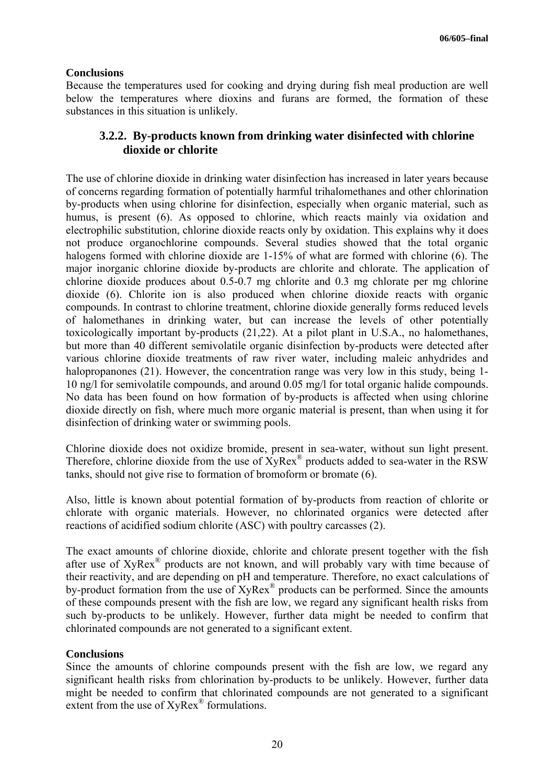### **Conclusions**

Because the temperatures used for cooking and drying during fish meal production are well below the temperatures where dioxins and furans are formed, the formation of these substances in this situation is unlikely.

## **3.2.2. By-products known from drinking water disinfected with chlorine dioxide or chlorite**

The use of chlorine dioxide in drinking water disinfection has increased in later years because of concerns regarding formation of potentially harmful trihalomethanes and other chlorination by-products when using chlorine for disinfection, especially when organic material, such as humus, is present (6). As opposed to chlorine, which reacts mainly via oxidation and electrophilic substitution, chlorine dioxide reacts only by oxidation. This explains why it does not produce organochlorine compounds. Several studies showed that the total organic halogens formed with chlorine dioxide are 1-15% of what are formed with chlorine (6). The major inorganic chlorine dioxide by-products are chlorite and chlorate. The application of chlorine dioxide produces about 0.5-0.7 mg chlorite and 0.3 mg chlorate per mg chlorine dioxide (6). Chlorite ion is also produced when chlorine dioxide reacts with organic compounds. In contrast to chlorine treatment, chlorine dioxide generally forms reduced levels of halomethanes in drinking water, but can increase the levels of other potentially toxicologically important by-products (21,22). At a pilot plant in U.S.A., no halomethanes, but more than 40 different semivolatile organic disinfection by-products were detected after various chlorine dioxide treatments of raw river water, including maleic anhydrides and halopropanones (21). However, the concentration range was very low in this study, being 1-10 ng/l for semivolatile compounds, and around 0.05 mg/l for total organic halide compounds. No data has been found on how formation of by-products is affected when using chlorine dioxide directly on fish, where much more organic material is present, than when using it for disinfection of drinking water or swimming pools.

Chlorine dioxide does not oxidize bromide, present in sea-water, without sun light present. Therefore, chlorine dioxide from the use of XyRex<sup>®</sup> products added to sea-water in the RSW tanks, should not give rise to formation of bromoform or bromate (6).

Also, little is known about potential formation of by-products from reaction of chlorite or chlorate with organic materials. However, no chlorinated organics were detected after reactions of acidified sodium chlorite (ASC) with poultry carcasses (2).

The exact amounts of chlorine dioxide, chlorite and chlorate present together with the fish after use of XyRex® products are not known, and will probably vary with time because of their reactivity, and are depending on pH and temperature. Therefore, no exact calculations of by-product formation from the use of XyRex® products can be performed. Since the amounts of these compounds present with the fish are low, we regard any significant health risks from such by-products to be unlikely. However, further data might be needed to confirm that chlorinated compounds are not generated to a significant extent.

### **Conclusions**

Since the amounts of chlorine compounds present with the fish are low, we regard any significant health risks from chlorination by-products to be unlikely. However, further data might be needed to confirm that chlorinated compounds are not generated to a significant extent from the use of XyRex® formulations.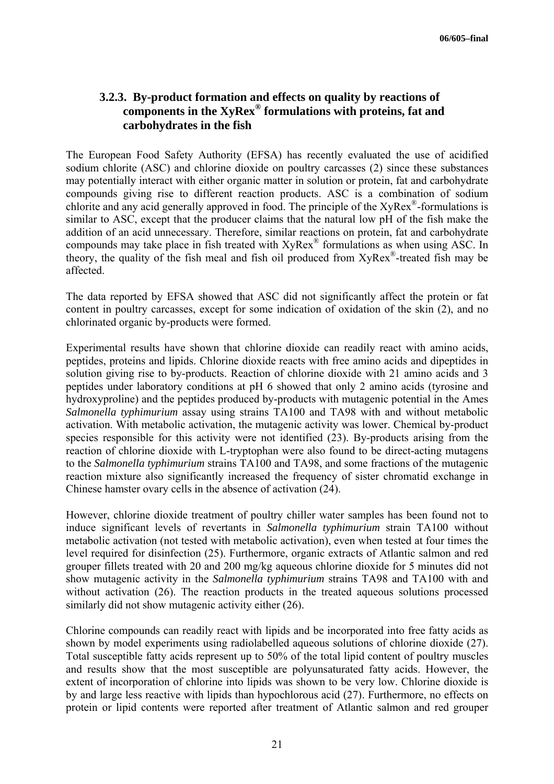## **3.2.3. By-product formation and effects on quality by reactions of components in the XyRex® formulations with proteins, fat and carbohydrates in the fish**

The European Food Safety Authority (EFSA) has recently evaluated the use of acidified sodium chlorite (ASC) and chlorine dioxide on poultry carcasses (2) since these substances may potentially interact with either organic matter in solution or protein, fat and carbohydrate compounds giving rise to different reaction products. ASC is a combination of sodium chlorite and any acid generally approved in food. The principle of the  $XyRex^{\mathcal{B}}$ -formulations is similar to ASC, except that the producer claims that the natural low pH of the fish make the addition of an acid unnecessary. Therefore, similar reactions on protein, fat and carbohydrate compounds may take place in fish treated with XyRex® formulations as when using ASC. In theory, the quality of the fish meal and fish oil produced from  $XyRex^*$ -treated fish may be affected.

The data reported by EFSA showed that ASC did not significantly affect the protein or fat content in poultry carcasses, except for some indication of oxidation of the skin (2), and no chlorinated organic by-products were formed.

Experimental results have shown that chlorine dioxide can readily react with amino acids, peptides, proteins and lipids. Chlorine dioxide reacts with free amino acids and dipeptides in solution giving rise to by-products. Reaction of chlorine dioxide with 21 amino acids and 3 peptides under laboratory conditions at pH 6 showed that only 2 amino acids (tyrosine and hydroxyproline) and the peptides produced by-products with mutagenic potential in the Ames *Salmonella typhimurium* assay using strains TA100 and TA98 with and without metabolic activation. With metabolic activation, the mutagenic activity was lower. Chemical by-product species responsible for this activity were not identified (23). By-products arising from the reaction of chlorine dioxide with L-tryptophan were also found to be direct-acting mutagens to the *Salmonella typhimurium* strains TA100 and TA98, and some fractions of the mutagenic reaction mixture also significantly increased the frequency of sister chromatid exchange in Chinese hamster ovary cells in the absence of activation (24).

However, chlorine dioxide treatment of poultry chiller water samples has been found not to induce significant levels of revertants in *Salmonella typhimurium* strain TA100 without metabolic activation (not tested with metabolic activation), even when tested at four times the level required for disinfection (25). Furthermore, organic extracts of Atlantic salmon and red grouper fillets treated with 20 and 200 mg/kg aqueous chlorine dioxide for 5 minutes did not show mutagenic activity in the *Salmonella typhimurium* strains TA98 and TA100 with and without activation (26). The reaction products in the treated aqueous solutions processed similarly did not show mutagenic activity either (26).

Chlorine compounds can readily react with lipids and be incorporated into free fatty acids as shown by model experiments using radiolabelled aqueous solutions of chlorine dioxide (27). Total susceptible fatty acids represent up to 50% of the total lipid content of poultry muscles and results show that the most susceptible are polyunsaturated fatty acids. However, the extent of incorporation of chlorine into lipids was shown to be very low. Chlorine dioxide is by and large less reactive with lipids than hypochlorous acid (27). Furthermore, no effects on protein or lipid contents were reported after treatment of Atlantic salmon and red grouper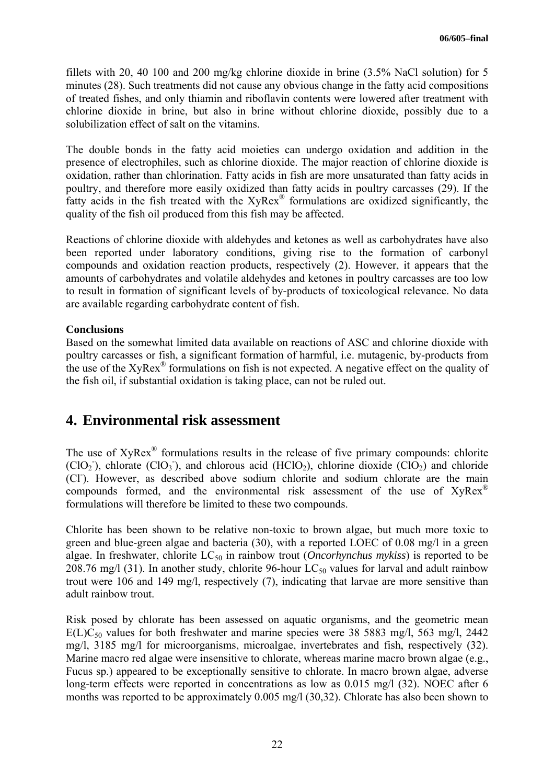fillets with 20, 40 100 and 200 mg/kg chlorine dioxide in brine (3.5% NaCl solution) for 5 minutes (28). Such treatments did not cause any obvious change in the fatty acid compositions of treated fishes, and only thiamin and riboflavin contents were lowered after treatment with chlorine dioxide in brine, but also in brine without chlorine dioxide, possibly due to a solubilization effect of salt on the vitamins.

The double bonds in the fatty acid moieties can undergo oxidation and addition in the presence of electrophiles, such as chlorine dioxide. The major reaction of chlorine dioxide is oxidation, rather than chlorination. Fatty acids in fish are more unsaturated than fatty acids in poultry, and therefore more easily oxidized than fatty acids in poultry carcasses (29). If the fatty acids in the fish treated with the XyRex<sup>®</sup> formulations are oxidized significantly, the quality of the fish oil produced from this fish may be affected.

Reactions of chlorine dioxide with aldehydes and ketones as well as carbohydrates have also been reported under laboratory conditions, giving rise to the formation of carbonyl compounds and oxidation reaction products, respectively (2). However, it appears that the amounts of carbohydrates and volatile aldehydes and ketones in poultry carcasses are too low to result in formation of significant levels of by-products of toxicological relevance. No data are available regarding carbohydrate content of fish.

### **Conclusions**

Based on the somewhat limited data available on reactions of ASC and chlorine dioxide with poultry carcasses or fish, a significant formation of harmful, i.e. mutagenic, by-products from the use of the XyRex<sup>®</sup> formulations on fish is not expected. A negative effect on the quality of the fish oil, if substantial oxidation is taking place, can not be ruled out.

## **4. Environmental risk assessment**

The use of  $XyRex^{\circledast}$  formulations results in the release of five primary compounds: chlorite  $(CIO<sub>2</sub>)$ , chlorate  $(CIO<sub>3</sub>)$ , and chlorous acid  $(HClO<sub>2</sub>)$ , chlorine dioxide  $(CIO<sub>2</sub>)$  and chloride (CI). However, as described above sodium chlorite and sodium chlorate are the main compounds formed, and the environmental risk assessment of the use of XyRex<sup>®</sup> formulations will therefore be limited to these two compounds.

Chlorite has been shown to be relative non-toxic to brown algae, but much more toxic to green and blue-green algae and bacteria (30), with a reported LOEC of 0.08 mg/l in a green algae. In freshwater, chlorite  $LC_{50}$  in rainbow trout *(Oncorhynchus mykiss)* is reported to be 208.76 mg/l (31). In another study, chlorite 96-hour  $LC_{50}$  values for larval and adult rainbow trout were 106 and 149 mg/l, respectively (7), indicating that larvae are more sensitive than adult rainbow trout.

Risk posed by chlorate has been assessed on aquatic organisms, and the geometric mean  $E(L)C_{50}$  values for both freshwater and marine species were 38 5883 mg/l, 563 mg/l, 2442 mg/l, 3185 mg/l for microorganisms, microalgae, invertebrates and fish, respectively (32). Marine macro red algae were insensitive to chlorate, whereas marine macro brown algae (e.g., Fucus sp.) appeared to be exceptionally sensitive to chlorate. In macro brown algae, adverse long-term effects were reported in concentrations as low as 0.015 mg/l (32). NOEC after 6 months was reported to be approximately 0.005 mg/l (30,32). Chlorate has also been shown to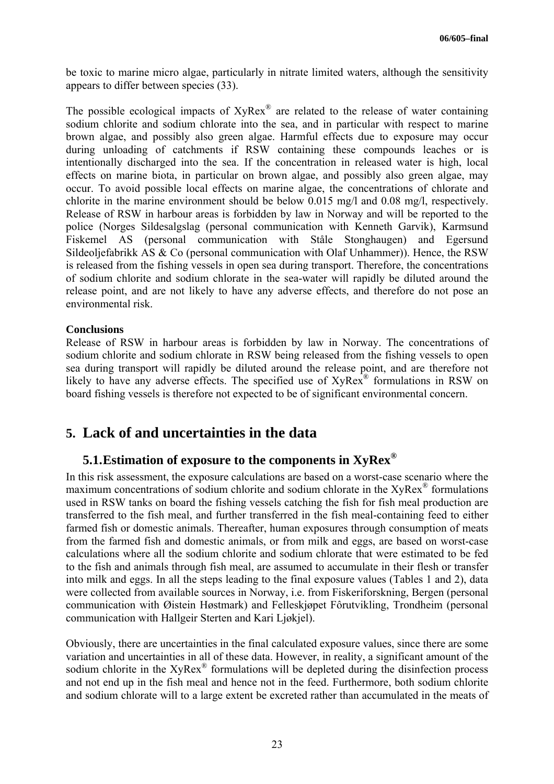be toxic to marine micro algae, particularly in nitrate limited waters, although the sensitivity appears to differ between species (33).

The possible ecological impacts of  $XyRex^{\mathcal{R}}$  are related to the release of water containing sodium chlorite and sodium chlorate into the sea, and in particular with respect to marine brown algae, and possibly also green algae. Harmful effects due to exposure may occur during unloading of catchments if RSW containing these compounds leaches or is intentionally discharged into the sea. If the concentration in released water is high, local effects on marine biota, in particular on brown algae, and possibly also green algae, may occur. To avoid possible local effects on marine algae, the concentrations of chlorate and chlorite in the marine environment should be below 0.015 mg/l and 0.08 mg/l, respectively. Release of RSW in harbour areas is forbidden by law in Norway and will be reported to the police (Norges Sildesalgslag (personal communication with Kenneth Garvik), Karmsund Fiskemel AS (personal communication with Ståle Stonghaugen) and Egersund Sildeoljefabrikk AS & Co (personal communication with Olaf Unhammer)). Hence, the RSW is released from the fishing vessels in open sea during transport. Therefore, the concentrations of sodium chlorite and sodium chlorate in the sea-water will rapidly be diluted around the release point, and are not likely to have any adverse effects, and therefore do not pose an environmental risk.

#### **Conclusions**

Release of RSW in harbour areas is forbidden by law in Norway. The concentrations of sodium chlorite and sodium chlorate in RSW being released from the fishing vessels to open sea during transport will rapidly be diluted around the release point, and are therefore not likely to have any adverse effects. The specified use of XyRex<sup>®</sup> formulations in RSW on board fishing vessels is therefore not expected to be of significant environmental concern.

## **5. Lack of and uncertainties in the data**

## **5.1.Estimation of exposure to the components in XyRex®**

In this risk assessment, the exposure calculations are based on a worst-case scenario where the maximum concentrations of sodium chlorite and sodium chlorate in the  $XyRex^{\circledR}$  formulations used in RSW tanks on board the fishing vessels catching the fish for fish meal production are transferred to the fish meal, and further transferred in the fish meal-containing feed to either farmed fish or domestic animals. Thereafter, human exposures through consumption of meats from the farmed fish and domestic animals, or from milk and eggs, are based on worst-case calculations where all the sodium chlorite and sodium chlorate that were estimated to be fed to the fish and animals through fish meal, are assumed to accumulate in their flesh or transfer into milk and eggs. In all the steps leading to the final exposure values (Tables 1 and 2), data were collected from available sources in Norway, i.e. from Fiskeriforskning, Bergen (personal communication with Øistein Høstmark) and Felleskjøpet Fôrutvikling, Trondheim (personal communication with Hallgeir Sterten and Kari Ljøkjel).

Obviously, there are uncertainties in the final calculated exposure values, since there are some variation and uncertainties in all of these data. However, in reality, a significant amount of the sodium chlorite in the XyRex<sup>®</sup> formulations will be depleted during the disinfection process and not end up in the fish meal and hence not in the feed. Furthermore, both sodium chlorite and sodium chlorate will to a large extent be excreted rather than accumulated in the meats of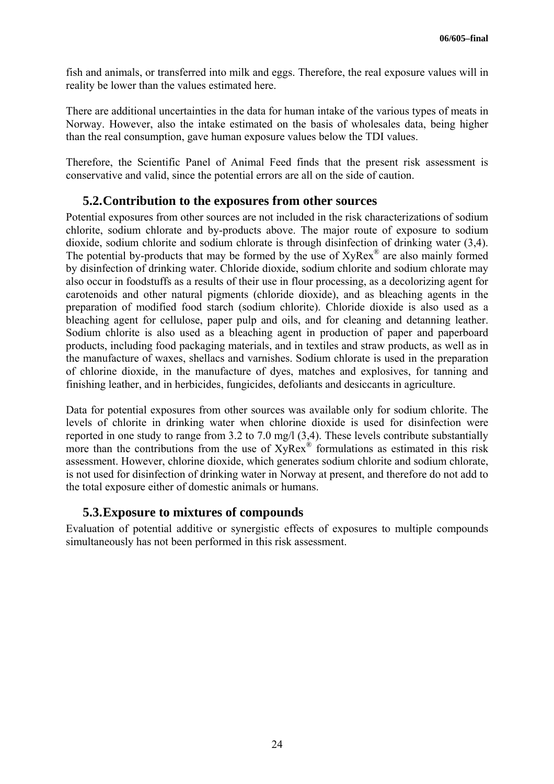fish and animals, or transferred into milk and eggs. Therefore, the real exposure values will in reality be lower than the values estimated here.

There are additional uncertainties in the data for human intake of the various types of meats in Norway. However, also the intake estimated on the basis of wholesales data, being higher than the real consumption, gave human exposure values below the TDI values.

Therefore, the Scientific Panel of Animal Feed finds that the present risk assessment is conservative and valid, since the potential errors are all on the side of caution.

## **5.2.Contribution to the exposures from other sources**

Potential exposures from other sources are not included in the risk characterizations of sodium chlorite, sodium chlorate and by-products above. The major route of exposure to sodium dioxide, sodium chlorite and sodium chlorate is through disinfection of drinking water (3,4). The potential by-products that may be formed by the use of  $XyRex^{\mathcal{R}}$  are also mainly formed by disinfection of drinking water. Chloride dioxide, sodium chlorite and sodium chlorate may also occur in foodstuffs as a results of their use in flour processing, as a decolorizing agent for carotenoids and other natural pigments (chloride dioxide), and as bleaching agents in the preparation of modified food starch (sodium chlorite). Chloride dioxide is also used as a bleaching agent for cellulose, paper pulp and oils, and for cleaning and detanning leather. Sodium chlorite is also used as a bleaching agent in production of paper and paperboard products, including food packaging materials, and in textiles and straw products, as well as in the manufacture of waxes, shellacs and varnishes. Sodium chlorate is used in the preparation of chlorine dioxide, in the manufacture of dyes, matches and explosives, for tanning and finishing leather, and in herbicides, fungicides, defoliants and desiccants in agriculture.

Data for potential exposures from other sources was available only for sodium chlorite. The levels of chlorite in drinking water when chlorine dioxide is used for disinfection were reported in one study to range from 3.2 to 7.0 mg/l (3,4). These levels contribute substantially more than the contributions from the use of XyRex® formulations as estimated in this risk assessment. However, chlorine dioxide, which generates sodium chlorite and sodium chlorate, is not used for disinfection of drinking water in Norway at present, and therefore do not add to the total exposure either of domestic animals or humans.

### **5.3.Exposure to mixtures of compounds**

Evaluation of potential additive or synergistic effects of exposures to multiple compounds simultaneously has not been performed in this risk assessment.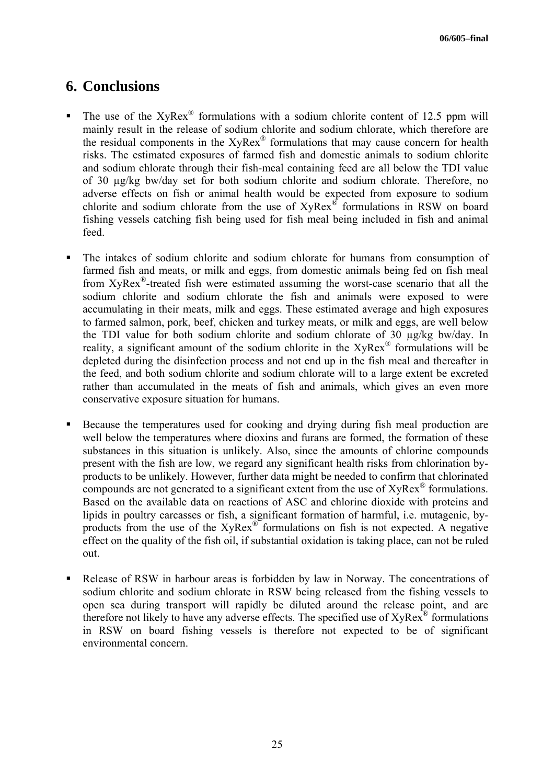## **6. Conclusions**

- The use of the  $XyRex^{\circ}$  formulations with a sodium chlorite content of 12.5 ppm will mainly result in the release of sodium chlorite and sodium chlorate, which therefore are the residual components in the XyRex® formulations that may cause concern for health risks. The estimated exposures of farmed fish and domestic animals to sodium chlorite and sodium chlorate through their fish-meal containing feed are all below the TDI value of 30 µg/kg bw/day set for both sodium chlorite and sodium chlorate. Therefore, no adverse effects on fish or animal health would be expected from exposure to sodium chlorite and sodium chlorate from the use of XyRex® formulations in RSW on board fishing vessels catching fish being used for fish meal being included in fish and animal feed.
- The intakes of sodium chlorite and sodium chlorate for humans from consumption of farmed fish and meats, or milk and eggs, from domestic animals being fed on fish meal from XyRex ®-treated fish were estimated assuming the worst-case scenario that all the sodium chlorite and sodium chlorate the fish and animals were exposed to were accumulating in their meats, milk and eggs. These estimated average and high exposures to farmed salmon, pork, beef, chicken and turkey meats, or milk and eggs, are well below the TDI value for both sodium chlorite and sodium chlorate of 30 µg/kg bw/day. In reality, a significant amount of the sodium chlorite in the XyRex<sup>®</sup> formulations will be depleted during the disinfection process and not end up in the fish meal and thereafter in the feed, and both sodium chlorite and sodium chlorate will to a large extent be excreted rather than accumulated in the meats of fish and animals, which gives an even more conservative exposure situation for humans.
- Because the temperatures used for cooking and drying during fish meal production are well below the temperatures where dioxins and furans are formed, the formation of these substances in this situation is unlikely. Also, since the amounts of chlorine compounds present with the fish are low, we regard any significant health risks from chlorination byproducts to be unlikely. However, further data might be needed to confirm that chlorinated compounds are not generated to a significant extent from the use of XyRex® formulations. Based on the available data on reactions of ASC and chlorine dioxide with proteins and lipids in poultry carcasses or fish, a significant formation of harmful, i.e. mutagenic, byproducts from the use of the XyRex® formulations on fish is not expected. A negative effect on the quality of the fish oil, if substantial oxidation is taking place, can not be ruled out.
- Release of RSW in harbour areas is forbidden by law in Norway. The concentrations of sodium chlorite and sodium chlorate in RSW being released from the fishing vessels to open sea during transport will rapidly be diluted around the release point, and are therefore not likely to have any adverse effects. The specified use of  $XyRex^{\mathcal{R}}$  formulations in RSW on board fishing vessels is therefore not expected to be of significant environmental concern.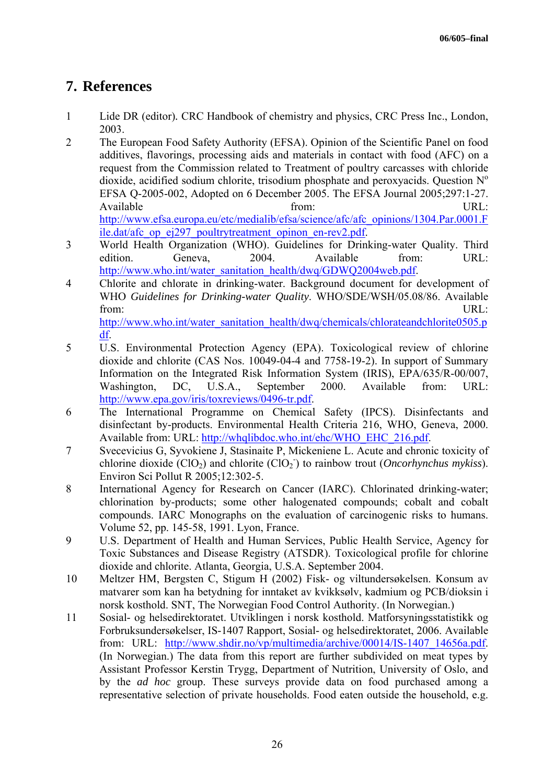# **7. References**

- 1 Lide DR (editor)*.* CRC Handbook of chemistry and physics, CRC Press Inc., London, 2003.
- 2 The European Food Safety Authority (EFSA). Opinion of the Scientific Panel on food additives, flavorings, processing aids and materials in contact with food (AFC) on a request from the Commission related to Treatment of poultry carcasses with chloride dioxide, acidified sodium chlorite, trisodium phosphate and peroxyacids. Question  $N<sup>o</sup>$ EFSA Q-2005-002, Adopted on 6 December 2005. The EFSA Journal 2005;297:1-27. Available **Example 18** Separate Line and Separate Line and Separate Line and Separate Line Line and Separate Line Line and Separate Line and Separate Line and Separate Line and Separate Line and Separate Line and Separate http://www.efsa.europa.eu/etc/medialib/efsa/science/afc/afc\_opinions/1304.Par.0001.F ile.dat/afc\_op\_ej297\_poultrytreatment\_opinon\_en-rev2.pdf.
- 3 World Health Organization (WHO). Guidelines for Drinking-water Quality. Third edition. Geneva, 2004. Available from: URL: http://www.who.int/water\_sanitation\_health/dwq/GDWQ2004web.pdf.
- 4 Chlorite and chlorate in drinking-water. Background document for development of WHO *Guidelines for Drinking-water Quality*. WHO/SDE/WSH/05.08/86. Available from: URL: http://www.who.int/water\_sanitation\_health/dwq/chemicals/chlorateandchlorite0505.p
- df. 5 U.S. Environmental Protection Agency (EPA). Toxicological review of chlorine dioxide and chlorite (CAS Nos. 10049-04-4 and 7758-19-2). In support of Summary Information on the Integrated Risk Information System (IRIS), EPA/635/R-00/007, Washington, DC, U.S.A., September 2000. Available from: URL: http://www.epa.gov/iris/toxreviews/0496-tr.pdf.
- 6 The International Programme on Chemical Safety (IPCS). Disinfectants and disinfectant by-products. Environmental Health Criteria 216, WHO, Geneva, 2000. Available from: URL: http://whqlibdoc.who.int/ehc/WHO\_EHC\_216.pdf.
- 7 Svecevicius G, Syvokiene J, Stasinaite P, Mickeniene L. Acute and chronic toxicity of chlorine dioxide  $(CIO<sub>2</sub>)$  and chlorite  $(CIO<sub>2</sub>)$  to rainbow trout (*Oncorhynchus mykiss*). Environ Sci Pollut R 2005;12:302-5.
- 8 International Agency for Research on Cancer (IARC). Chlorinated drinking-water; chlorination by-products; some other halogenated compounds; cobalt and cobalt compounds. IARC Monographs on the evaluation of carcinogenic risks to humans. Volume 52, pp. 145-58, 1991. Lyon, France.
- 9 U.S. Department of Health and Human Services, Public Health Service, Agency for Toxic Substances and Disease Registry (ATSDR). Toxicological profile for chlorine dioxide and chlorite. Atlanta, Georgia, U.S.A. September 2004.
- 10 Meltzer HM, Bergsten C, Stigum H (2002) Fisk- og viltundersøkelsen. Konsum av matvarer som kan ha betydning for inntaket av kvikksølv, kadmium og PCB/dioksin i norsk kosthold. SNT, The Norwegian Food Control Authority. (In Norwegian.)
- 11 Sosial- og helsedirektoratet. Utviklingen i norsk kosthold. Matforsyningsstatistikk og Forbruksundersøkelser, IS-1407 Rapport, Sosial- og helsedirektoratet, 2006. Available from: URL: http://www.shdir.no/vp/multimedia/archive/00014/IS-1407 14656a.pdf. (In Norwegian.) The data from this report are further subdivided on meat types by Assistant Professor Kerstin Trygg, Department of Nutrition, University of Oslo, and by the *ad hoc* group. These surveys provide data on food purchased among a representative selection of private households. Food eaten outside the household, e.g.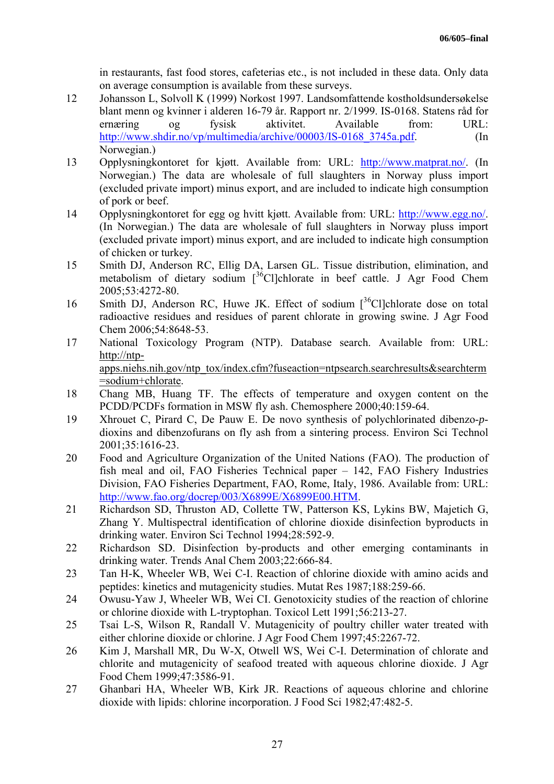in restaurants, fast food stores, cafeterias etc., is not included in these data. Only data on average consumption is available from these surveys.

- 12 Johansson L, Solvoll K (1999) Norkost 1997. Landsomfattende kostholdsundersøkelse blant menn og kvinner i alderen 16-79 år. Rapport nr. 2/1999. IS-0168. Statens råd for ernæring og fysisk aktivitet. Available from: URL: http://www.shdir.no/vp/multimedia/archive/00003/IS-0168 3745a.pdf. (In Norwegian.)
- 13 Opplysningkontoret for kjøtt. Available from: URL: http://www.matprat.no/. (In Norwegian.) The data are wholesale of full slaughters in Norway pluss import (excluded private import) minus export, and are included to indicate high consumption of pork or beef.
- 14 Opplysningkontoret for egg og hvitt kjøtt. Available from: URL: http://www.egg.no/. (In Norwegian.) The data are wholesale of full slaughters in Norway pluss import (excluded private import) minus export, and are included to indicate high consumption of chicken or turkey.
- 15 Smith DJ, Anderson RC, Ellig DA, Larsen GL. Tissue distribution, elimination, and metabolism of dietary sodium  $\int_0^{36}$ Cl]chlorate in beef cattle. J Agr Food Chem 2005;53:4272-80.
- 16 Smith DJ, Anderson RC, Huwe JK. Effect of sodium  $1^{36}$ Cllchlorate dose on total radioactive residues and residues of parent chlorate in growing swine. J Agr Food Chem 2006;54:8648-53.
- 17 National Toxicology Program (NTP). Database search. Available from: URL: http://ntpapps.niehs.nih.gov/ntp\_tox/index.cfm?fuseaction=ntpsearch.searchresults&searchterm =sodium+chlorate.
- 18 Chang MB, Huang TF. The effects of temperature and oxygen content on the PCDD/PCDFs formation in MSW fly ash. Chemosphere 2000;40:159-64.
- 19 Xhrouet C, Pirard C, De Pauw E. De novo synthesis of polychlorinated dibenzo-*p*dioxins and dibenzofurans on fly ash from a sintering process. Environ Sci Technol 2001;35:1616-23.
- 20 Food and Agriculture Organization of the United Nations (FAO). The production of fish meal and oil, FAO Fisheries Technical paper – 142, FAO Fishery Industries Division, FAO Fisheries Department, FAO, Rome, Italy, 1986. Available from: URL: http://www.fao.org/docrep/003/X6899E/X6899E00.HTM.
- 21 Richardson SD, Thruston AD, Collette TW, Patterson KS, Lykins BW, Majetich G, Zhang Y. Multispectral identification of chlorine dioxide disinfection byproducts in drinking water. Environ Sci Technol 1994;28:592-9.
- 22 Richardson SD. Disinfection by-products and other emerging contaminants in drinking water. Trends Anal Chem 2003;22:666-84.
- 23 Tan H-K, Wheeler WB, Wei C-I. Reaction of chlorine dioxide with amino acids and peptides: kinetics and mutagenicity studies. Mutat Res 1987;188:259-66.
- 24 Owusu-Yaw J, Wheeler WB, Wei CI. Genotoxicity studies of the reaction of chlorine or chlorine dioxide with L-tryptophan. Toxicol Lett 1991;56:213-27.
- 25 Tsai L-S, Wilson R, Randall V. Mutagenicity of poultry chiller water treated with either chlorine dioxide or chlorine. J Agr Food Chem 1997;45:2267-72.
- 26 Kim J, Marshall MR, Du W-X, Otwell WS, Wei C-I. Determination of chlorate and chlorite and mutagenicity of seafood treated with aqueous chlorine dioxide. J Agr Food Chem 1999;47:3586-91.
- 27 Ghanbari HA, Wheeler WB, Kirk JR. Reactions of aqueous chlorine and chlorine dioxide with lipids: chlorine incorporation. J Food Sci 1982;47:482-5.